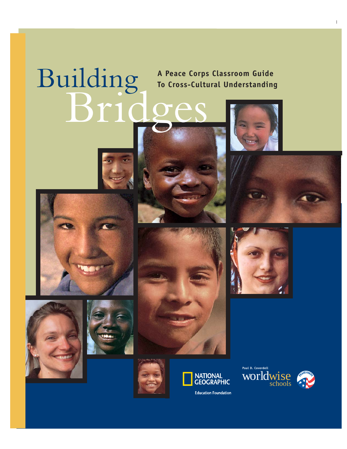# **A Peace Corps Classroom Guide** Building **To Cross-Cultural Understanding** Brid











NATIONAL<br>GEOGRAPHIC **Education Foundation** 







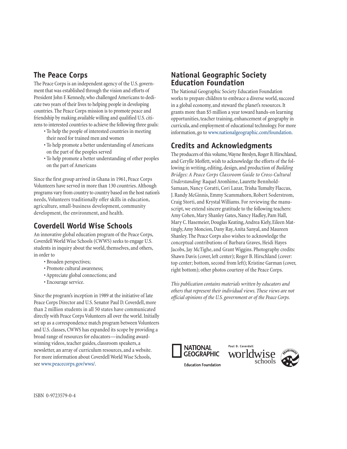# **The Peace Corps**

The Peace Corps is an independent agency of the U.S. government that was established through the vision and efforts of President John F. Kennedy, who challenged Americans to dedicate two years of their lives to helping people in developing countries. The Peace Corps mission is to promote peace and friendship by making available willing and qualified U.S. citizens to interested countries to achieve the following three goals:

- To help the people of interested countries in meeting their need for trained men and women
- To help promote a better understanding of Americans on the part of the peoples served
- To help promote a better understanding of other peoples on the part of Americans

Since the first group arrived in Ghana in 1961, Peace Corps Volunteers have served in more than 130 countries. Although programs vary from country to country based on the host nation's needs, Volunteers traditionally offer skills in education, agriculture, small-business development, community development, the environment, and health.

# **Coverdell World Wise Schools**

An innovative global education program of the Peace Corps, Coverdell World Wise Schools (CWWS) seeks to engage U.S. students in inquiry about the world, themselves, and others, in order to

- Broaden perspectives;
- Promote cultural awareness;
- Appreciate global connections; and
- Encourage service.

Since the program's inception in 1989 at the initiative of late Peace Corps Director and U.S. Senator Paul D. Coverdell, more than 2 million students in all 50 states have communicated directly with Peace Corps Volunteers all over the world. Initially set up as a correspondence match program between Volunteers and U.S. classes, CWWS has expanded its scope by providing a broad range of resources for educators—including awardwinning videos, teacher guides, classroom speakers, a newsletter, an array of curriculum resources, and a website. For more information about Coverdell World Wise Schools, see www.peacecorps.gov/wws/.

# **National Geographic Society Education Foundation**

The National Geographic Society Education Foundation works to prepare children to embrace a diverse world, succeed in a global economy, and steward the planet's resources. It grants more than \$5 million a year toward hands-on learning opportunities, teacher training, enhancement of geography in curricula, and employment of educational technology. For more information, go to www.nationalgeographic.com/foundation.

# **Credits and Acknowledgments**

The producers of this volume, Wayne Breslyn, Roger B. Hirschland, and Cerylle Moffett, wish to acknowledge the efforts of the following in writing, editing, design, and production of *Building Bridges: A Peace Corps Classroom Guide to Cross-Cultural Understanding:* Raquel Aronhime, Laurette Bennhold-Samaan, Nancy Coratti, Cori Lazar, Trisha Tumulty Flaccus, J. Randy McGinnis, Emmy Scammahorn, Robert Soderstrom, Craig Storti, and Krystal Williams. For reviewing the manuscript, we extend sincere gratitude to the following teachers: Amy Cohen, Mary Shanley Gates, Nancy Hadley, Pam Hall, Mary C. Hasemeier, Douglas Keating,Andrea Kiely, Eileen Mattingly,Amy Moncion, Dany Ray, Anita Sanyal, and Maureen Shanley. The Peace Corps also wishes to acknowledge the conceptual contributions of Barbara Graves, Heidi Hayes Jacobs, Jay McTighe, and Grant Wiggins. Photography credits: Shawn Davis (cover, left center); Roger B. Hirschland (cover: top center; bottom, second from left); Kristine Garman (cover, right bottom); other photos courtesy of the Peace Corps.

*This publication contains materials written by educators and others that represent their individual views. These views are not official opinions of the U.S. government or of the Peace Corps.*



schools Paul D. Coverdell<br>WOT**I**dwise



**Education Foundation**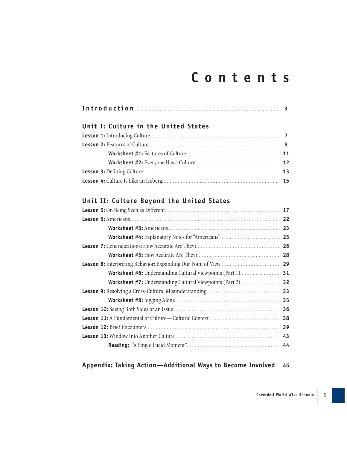# **Contents**

|--|--|

# **Unit I: Culture in the United States**

# **Unit II: Culture Beyond the United States**

| 23 |
|----|
|    |
|    |
|    |
|    |
|    |
|    |
|    |
|    |
|    |
|    |
| 39 |
|    |
|    |
|    |

**Appendix: Taking Action—Additional Ways to Become Involved**... **46**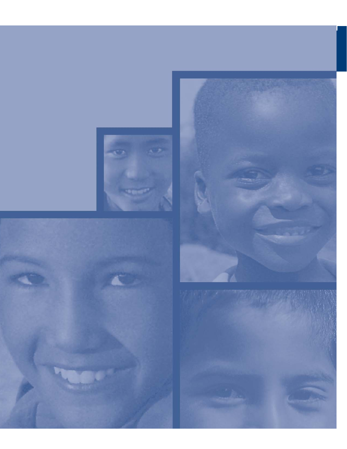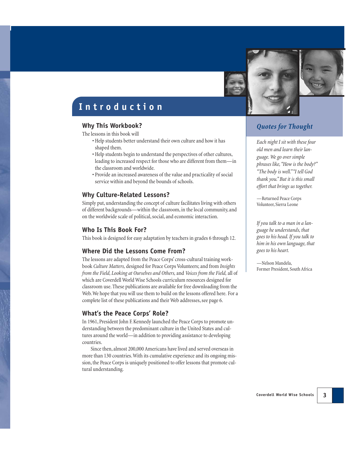

# **Introduction**

#### **Why This Workbook?**

The lessons in this book will

- Help students better understand their own culture and how it has shaped them.
- Help students begin to understand the perspectives of other cultures, leading to increased respect for those who are different from them—in the classroom and worldwide.
- Provide an increased awareness of the value and practicality of social service within and beyond the bounds of schools.

#### **Why Culture-Related Lessons?**

Simply put, understanding the concept of culture facilitates living with others of different backgrounds—within the classroom, in the local community, and on the worldwide scale of political, social, and economic interaction.

#### **Who Is This Book For?**

This book is designed for easy adaptation by teachers in grades 6 through 12.

#### **Where Did the Lessons Come From?**

The lessons are adapted from the Peace Corps' cross-cultural training workbook *Culture Matters,* designed for Peace Corps Volunteers; and from *Insights from the Field, Looking at Ourselves and Others,* and *Voices from the Field,* all of which are Coverdell World Wise Schools curriculum resources designed for classroom use.These publications are available for free downloading from the Web. We hope that you will use them to build on the lessons offered here. For a complete list of these publications and their Web addresses, see page 6.

#### **What's the Peace Corps' Role?**

In 1961, President John F. Kennedy launched the Peace Corps to promote understanding between the predominant culture in the United States and cultures around the world—in addition to providing assistance to developing countries.

Since then, almost 200,000 Americans have lived and served overseas in more than 130 countries. With its cumulative experience and its ongoing mission, the Peace Corps is uniquely positioned to offer lessons that promote cultural understanding.

### *Quotes for Thought*

*Each night I sit with these four old men and learn their language. We go over simple phrases like,"How is the body?" "The body is well.""I tell God thank you." But it is this small effort that brings us together.*

—Returned Peace Corps Volunteer, Sierra Leone

*If you talk to a man in a language he understands, that goes to his head. If you talk to him in his own language, that goes to his heart.*

—Nelson Mandela, Former President, South Africa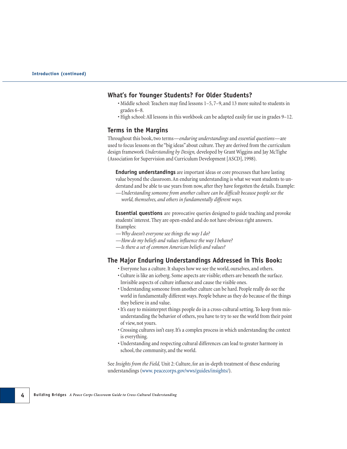#### **What's for Younger Students? For Older Students?**

- Middle school: Teachers may find lessons 1–5, 7–9, and 13 more suited to students in grades 6–8.
- High school: All lessons in this workbook can be adapted easily for use in grades 9–12.

#### **Terms in the Margins**

Throughout this book, two terms—*enduring understandings* and *essential questions*—are used to focus lessons on the "big ideas" about culture. They are derived from the curriculum design framework *Understanding by Design,* developed by Grant Wiggins and Jay McTighe (Association for Supervision and Curriculum Development [ASCD], 1998).

**Enduring understandings** are important ideas or core processes that have lasting value beyond the classroom. An enduring understanding is what we want students to understand and be able to use years from now, after they have forgotten the details. Example:

—*Understanding someone from another culture can be difficult because people see the world, themselves, and others in fundamentally different ways.*

**Essential questions** are provocative queries designed to guide teaching and provoke students' interest. They are open-ended and do not have obvious right answers. Examples:

- *—Why doesn't everyone see things the way I do?*
- *—How do my beliefs and values influence the way I behave?*
- *—Is there a set of common American beliefs and values?*

#### **The Major Enduring Understandings Addressed in This Book:**

- Everyone has a culture. It shapes how we see the world, ourselves, and others.
- Culture is like an iceberg. Some aspects are visible; others are beneath the surface. Invisible aspects of culture influence and cause the visible ones.
- Understanding someone from another culture can be hard. People really do see the world in fundamentally different ways. People behave as they do because of the things they believe in and value.
- It's easy to misinterpret things people do in a cross-cultural setting. To keep from misunderstanding the behavior of others, you have to try to see the world from their point of view, not yours.
- Crossing cultures isn't easy. It's a complex process in which understanding the context is everything.
- Understanding and respecting cultural differences can lead to greater harmony in school, the community, and the world.

See *Insights from the Field,* Unit 2: Culture, for an in-depth treatment of these enduring understandings (www. peacecorps.gov/wws/guides/insights/).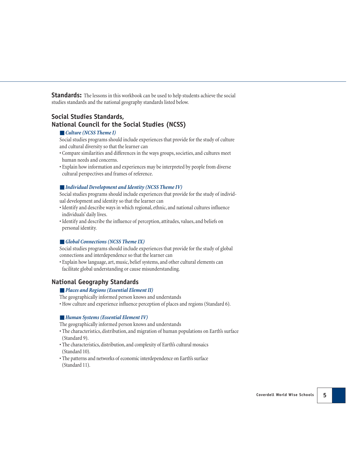**Standards:** The lessons in this workbook can be used to help students achieve the social studies standards and the national geography standards listed below.

#### **Social Studies Standards, National Council for the Social Studies (NCSS)**

#### ■ *Culture (NCSS Theme I)*

Social studies programs should include experiences that provide for the study of culture and cultural diversity so that the learner can

- Compare similarities and differences in the ways groups, societies, and cultures meet human needs and concerns.
- Explain how information and experiences may be interpreted by people from diverse cultural perspectives and frames of reference.

#### ■ *Individual Development and Identity (NCSS Theme IV)*

Social studies programs should include experiences that provide for the study of individual development and identity so that the learner can

- Identify and describe ways in which regional, ethnic, and national cultures influence individuals' daily lives.
- Identify and describe the influence of perception, attitudes, values, and beliefs on personal identity.

#### ■ *Global Connections* (NCSS Theme IX)

Social studies programs should include experiences that provide for the study of global connections and interdependence so that the learner can

• Explain how language, art, music, belief systems, and other cultural elements can facilitate global understanding or cause misunderstanding.

#### **National Geography Standards**

#### ■ *Places and Regions (Essential Element II)*

- The geographically informed person knows and understands
- How culture and experience influence perception of places and regions (Standard 6).

#### ■ *Human Systems (Essential Element IV)*

The geographically informed person knows and understands

- The characteristics, distribution, and migration of human populations on Earth's surface (Standard 9).
- The characteristics, distribution, and complexity of Earth's cultural mosaics (Standard 10).
- The patterns and networks of economic interdependence on Earth's surface (Standard 11).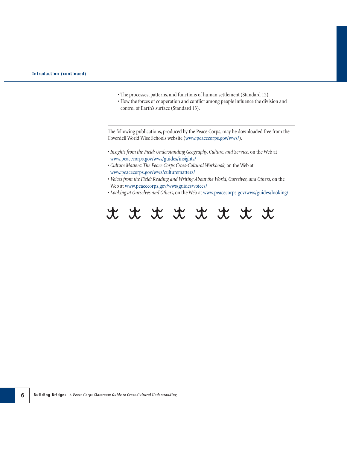- The processes, patterns, and functions of human settlement (Standard 12).
- How the forces of cooperation and conflict among people influence the division and control of Earth's surface (Standard 13).

The following publications, produced by the Peace Corps, may be downloaded free from the Coverdell World Wise Schools website (www.peacecorps.gov/wws/).

- *Insights from the Field: Understanding Geography, Culture, and Service,* on the Web at www.peacecorps.gov/wws/guides/insights/
- *Culture Matters: The Peace Corps Cross-Cultural Workbook,* on the Web at www.peacecorps.gov/wws/culturematters/
- *Voices from the Field: Reading and Writing About the World, Ourselves, and Others,* on the Web at www.peacecorps.gov/wws/guides/voices/
- *Looking at Ourselves and Others,* on the Web at www.peacecorps.gov/wws/guides/looking/

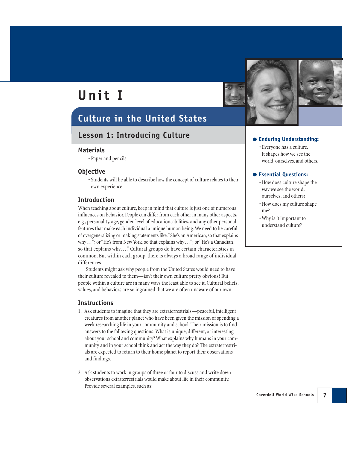# **Unit I**

# **Culture in the United States**

# **Lesson 1: Introducing Culture**

#### **Materials**

• Paper and pencils

#### **Objective**

• Students will be able to describe how the concept of culture relates to their own experience.

#### **Introduction**

When teaching about culture, keep in mind that culture is just one of numerous influences on behavior. People can differ from each other in many other aspects, e.g., personality, age, gender, level of education, abilities, and any other personal features that make each individual a unique human being. We need to be careful of overgeneralizing or making statements like:"She's an American, so that explains why…"; or "He's from New York, so that explains why…"; or "He's a Canadian, so that explains why…." Cultural groups do have certain characteristics in common. But within each group, there is always a broad range of individual differences.

Students might ask why people from the United States would need to have their culture revealed to them—isn't their own culture pretty obvious? But people within a culture are in many ways the least able to see it. Cultural beliefs, values, and behaviors are so ingrained that we are often unaware of our own.

#### **Instructions**

- 1. Ask students to imagine that they are extraterrestrials—peaceful, intelligent creatures from another planet who have been given the mission of spending a week researching life in your community and school. Their mission is to find answers to the following questions: What is unique, different, or interesting about your school and community? What explains why humans in your community and in your school think and act the way they do? The extraterrestrials are expected to return to their home planet to report their observations and findings.
- 2. Ask students to work in groups of three or four to discuss and write down observations extraterrestrials would make about life in their community. Provide several examples, such as:



#### **Enduring Understanding:**

• Everyone has a culture. It shapes how we see the world, ourselves, and others.

#### **Essential Questions:**

- How does culture shape the way we see the world, ourselves, and others?
- How does my culture shape me?
- Why is it important to understand culture?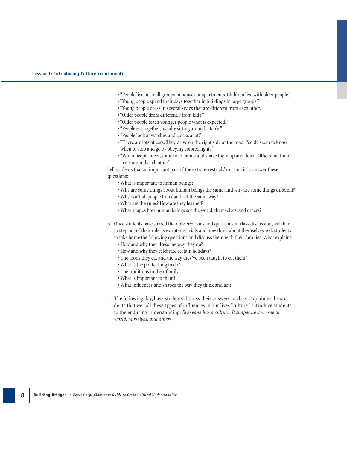- "People live in small groups in houses or apartments. Children live with older people."
- "Young people spend their days together in buildings in large groups."
- "Young people dress in several styles that are different from each other."
- "Older people dress differently from kids."
- "Older people teach younger people what is expected."
- "People eat together, usually sitting around a table."
- "People look at watches and clocks a lot."
- "There are lots of cars. They drive on the right side of the road. People seem to know when to stop and go by obeying colored lights."
- "When people meet, some hold hands and shake them up and down. Others put their arms around each other."

Tell students that an important part of the extraterrestrials' mission is to answer these questions:

- What is important to human beings?
- Why are some things about human beings the same, and why are some things different?
- Why don't all people think and act the same way?
- What are the rules? How are they learned?
- What shapes how human beings see the world, themselves, and others?
- 3. Once students have shared their observations and questions in class discussion, ask them to step out of their role as extraterrestrials and now think about themselves. Ask students to take home the following questions and discuss them with their families. What explains
	- How and why they dress the way they do?
	- How and why they celebrate certain holidays?
	- The foods they eat and the way they've been taught to eat them?
	- What is the polite thing to do?
	- The traditions in their family?
	- What is important to them?
	- What influences and shapes the way they think and act?
- 4. The following day, have students discuss their answers in class. Explain to the students that we call these types of influences in our lives "culture." Introduce students to the enduring understanding: *Everyone has a culture. It shapes how we see the world, ourselves, and others.*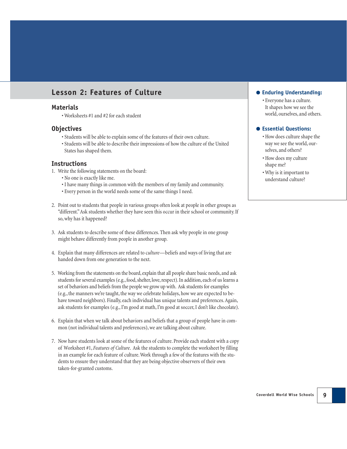# **Lesson 2: Features of Culture**

#### **Materials**

• Worksheets #1 and #2 for each student

#### **Objectives**

- Students will be able to explain some of the features of their own culture.
- Students will be able to describe their impressions of how the culture of the United States has shaped them.

#### **Instructions**

- 1. Write the following statements on the board:
	- No one is exactly like me.
	- I have many things in common with the members of my family and community.
	- Every person in the world needs some of the same things I need.
- 2. Point out to students that people in various groups often look at people in other groups as "different."Ask students whether they have seen this occur in their school or community. If so, why has it happened?
- 3. Ask students to describe some of these differences. Then ask why people in one group might behave differently from people in another group.
- 4. Explain that many differences are related to c*ulture*—beliefs and ways of living that are handed down from one generation to the next.
- 5. Working from the statements on the board, explain that all people share basic needs, and ask students for several examples (e.g., food, shelter, love, respect). In addition, each of us learns a set of behaviors and beliefs from the people we grow up with. Ask students for examples (e.g., the manners we're taught, the way we celebrate holidays, how we are expected to behave toward neighbors). Finally, each individual has unique talents and preferences. Again, ask students for examples (e.g., I'm good at math, I'm good at soccer, I don't like chocolate).
- 6. Explain that when we talk about behaviors and beliefs that a group of people have in common (not individual talents and preferences), we are talking about culture.
- 7. Now have students look at some of the features of culture. Provide each student with a copy of Worksheet #1, *Features of Culture*. Ask the students to complete the worksheet by filling in an example for each feature of culture. Work through a few of the features with the students to ensure they understand that they are being objective observers of their own taken-for-granted customs.

#### **Enduring Understanding:**

• Everyone has a culture. It shapes how we see the world, ourselves, and others.

#### **Essential Questions:**

- How does culture shape the way we see the world, ourselves, and others?
- How does my culture shape me?
- Why is it important to understand culture?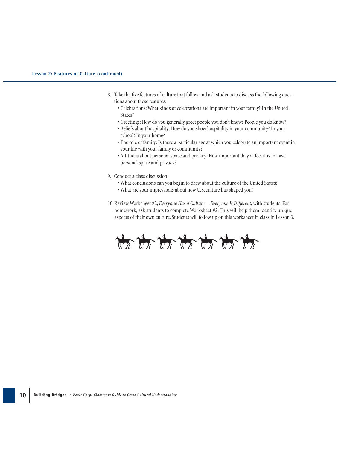- 8. Take the five features of culture that follow and ask students to discuss the following questions about these features:
	- Celebrations: What kinds of celebrations are important in your family? In the United States?
	- Greetings: How do you generally greet people you don't know? People you do know?
	- Beliefs about hospitality: How do you show hospitality in your community? In your school? In your home?
	- The role of family: Is there a particular age at which you celebrate an important event in your life with your family or community?
	- Attitudes about personal space and privacy: How important do you feel it is to have personal space and privacy?
- 9. Conduct a class discussion:
	- What conclusions can you begin to draw about the culture of the United States? • What are your impressions about how U.S. culture has shaped you?
- 10. Review Worksheet #2, *Everyone Has a Culture—Everyone Is Different,* with students. For homework, ask students to complete Worksheet #2. This will help them identify unique aspects of their own culture. Students will follow up on this worksheet in class in Lesson 3.

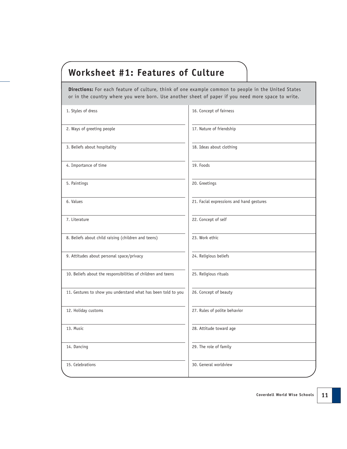# **Worksheet #1: Features of Culture**

**Directions:** For each feature of culture, think of one example common to people in the United States or in the country where you were born. Use another sheet of paper if you need more space to write.

| 1. Styles of dress                                            | 16. Concept of fairness                  |
|---------------------------------------------------------------|------------------------------------------|
| 2. Ways of greeting people                                    | 17. Nature of friendship                 |
| 3. Beliefs about hospitality                                  | 18. Ideas about clothing                 |
| 4. Importance of time                                         | 19. Foods                                |
| 5. Paintings                                                  | 20. Greetings                            |
| 6. Values                                                     | 21. Facial expressions and hand gestures |
| 7. Literature                                                 | 22. Concept of self                      |
| 8. Beliefs about child raising (children and teens)           | 23. Work ethic                           |
| 9. Attitudes about personal space/privacy                     | 24. Religious beliefs                    |
| 10. Beliefs about the responsibilities of children and teens  | 25. Religious rituals                    |
| 11. Gestures to show you understand what has been told to you | 26. Concept of beauty                    |
| 12. Holiday customs                                           | 27. Rules of polite behavior             |
| 13. Music                                                     | 28. Attitude toward age                  |
| 14. Dancing                                                   | 29. The role of family                   |
| 15. Celebrations                                              | 30. General worldview                    |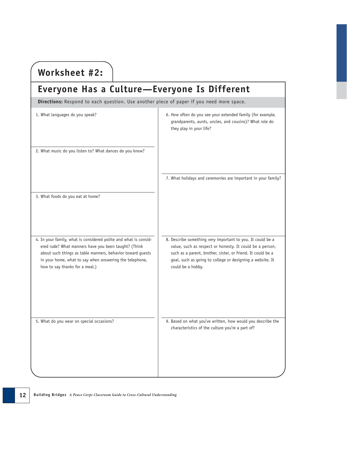| Worksheet #2:                                                                                                                                                                                                                                                                       |                                                                                                                                                                                                                                                                         |  |  |
|-------------------------------------------------------------------------------------------------------------------------------------------------------------------------------------------------------------------------------------------------------------------------------------|-------------------------------------------------------------------------------------------------------------------------------------------------------------------------------------------------------------------------------------------------------------------------|--|--|
| Everyone Has a Culture-Everyone Is Different                                                                                                                                                                                                                                        |                                                                                                                                                                                                                                                                         |  |  |
| Directions: Respond to each question. Use another piece of paper if you need more space.                                                                                                                                                                                            |                                                                                                                                                                                                                                                                         |  |  |
| 1. What languages do you speak?                                                                                                                                                                                                                                                     | 6. How often do you see your extended family (for example,<br>grandparents, aunts, uncles, and cousins)? What role do<br>they play in your life?                                                                                                                        |  |  |
| 2. What music do you listen to? What dances do you know?                                                                                                                                                                                                                            |                                                                                                                                                                                                                                                                         |  |  |
|                                                                                                                                                                                                                                                                                     | 7. What holidays and ceremonies are important in your family?                                                                                                                                                                                                           |  |  |
| 3. What foods do you eat at home?                                                                                                                                                                                                                                                   |                                                                                                                                                                                                                                                                         |  |  |
| 4. In your family, what is considered polite and what is consid-<br>ered rude? What manners have you been taught? (Think<br>about such things as table manners, behavior toward guests<br>in your home, what to say when answering the telephone,<br>how to say thanks for a meal.) | 8. Describe something very important to you. It could be a<br>value, such as respect or honesty. It could be a person,<br>such as a parent, brother, sister, or friend. It could be a<br>goal, such as going to college or designing a website. It<br>could be a hobby. |  |  |
| 5. What do you wear on special occasions?                                                                                                                                                                                                                                           | 9. Based on what you've written, how would you describe the<br>characteristics of the culture you're a part of?                                                                                                                                                         |  |  |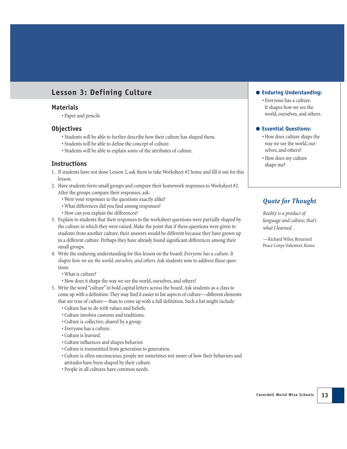# **Lesson 3: Defining Culture**

#### **Materials**

• Paper and pencils

#### **Objectives**

- Students will be able to further describe how their culture has shaped them.
- Students will be able to define the concept of culture.
- Students will be able to explain some of the attributes of culture.

#### **Instructions**

- 1. If students have not done Lesson 2, ask them to take Worksheet #2 home and fill it out for this lesson.
- 2. Have students form small groups and compare their homework responses to Worksheet #2. After the groups compare their responses, ask:
	- Were your responses to the questions exactly alike?
	- What differences did you find among responses?
	- How can you explain the differences?
- 3. Explain to students that their responses to the worksheet questions were partially shaped by the culture in which they were raised. Make the point that if these questions were given to students from another culture, their answers would be different because they have grown up in a different culture. Perhaps they have already found significant differences among their small groups.
- 4. Write the enduring understanding for this lesson on the board: *Everyone has a culture. It shapes how we see the world, ourselves, and others*. Ask students now to address these questions:
	- What is culture?
	- How does it shape the way we see the world, ourselves, and others?
- 5. Write the word "culture" in bold capital letters across the board. Ask students as a class to come up with a definition. They may find it easier to list aspects of culture—different elements that are true of culture—than to come up with a full definition. Such a list might include:
	- Culture has to do with values and beliefs.
	- Culture involves customs and traditions.
	- Culture is collective, shared by a group.
	- Everyone has a culture.
	- Culture is learned.
	- Culture influences and shapes behavior.
	- Culture is transmitted from generation to generation.
	- Culture is often unconscious; people are sometimes not aware of how their behaviors and attitudes have been shaped by their culture.
	- People in all cultures have common needs.

#### **Enduring Understanding:**

• Everyone has a culture. It shapes how we see the world, ourselves, and others.

#### **Essential Questions:**

- How does culture shape the way we see the world, ourselves, and others?
- How does my culture shape me?

### *Quote for Thought*

*Reality is a product of language and culture; that's what I learned.*

—Richard Wiley, Returned Peace Corps Volunteer, Korea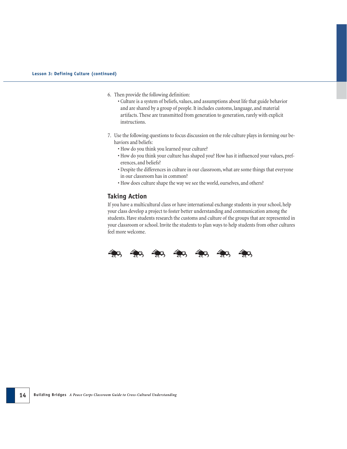- 6. Then provide the following definition:
	- Culture is a system of beliefs, values, and assumptions about life that guide behavior and are shared by a group of people. It includes customs, language, and material artifacts. These are transmitted from generation to generation, rarely with explicit instructions.
- 7. Use the following questions to focus discussion on the role culture plays in forming our behaviors and beliefs:
	- How do you think you learned your culture?
	- How do you think your culture has shaped you? How has it influenced your values, preferences, and beliefs?
	- Despite the differences in culture in our classroom, what are some things that everyone in our classroom has in common?
	- How does culture shape the way we see the world, ourselves, and others?

#### **Taking Action**

If you have a multicultural class or have international exchange students in your school, help your class develop a project to foster better understanding and communication among the students. Have students research the customs and culture of the groups that are represented in your classroom or school. Invite the students to plan ways to help students from other cultures feel more welcome.

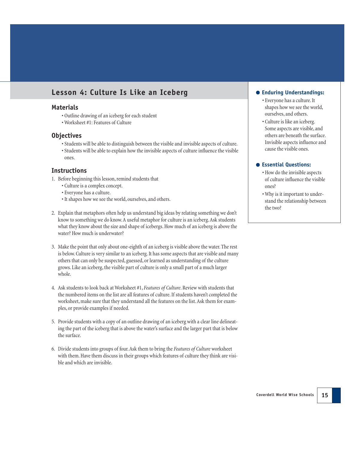# **Lesson 4: Culture Is Like an Iceberg**

#### **Materials**

- Outline drawing of an iceberg for each student
- Worksheet #1: Features of Culture

#### **Objectives**

- Students will be able to distinguish between the visible and invisible aspects of culture.
- Students will be able to explain how the invisible aspects of culture influence the visible ones.

#### **Instructions**

- 1. Before beginning this lesson, remind students that
	- Culture is a complex concept.
	- Everyone has a culture.
	- It shapes how we see the world, ourselves, and others.
- 2. Explain that metaphors often help us understand big ideas by relating something we don't know to something we do know. A useful metaphor for culture is an iceberg. Ask students what they know about the size and shape of icebergs. How much of an iceberg is above the water? How much is underwater?
- 3. Make the point that only about one-eighth of an iceberg is visible above the water. The rest is below. Culture is very similar to an iceberg. It has some aspects that are visible and many others that can only be suspected, guessed, or learned as understanding of the culture grows. Like an iceberg, the visible part of culture is only a small part of a much larger whole.
- 4. Ask students to look back at Worksheet #1, *Features of Culture*. Review with students that the numbered items on the list are all features of culture. If students haven't completed the worksheet, make sure that they understand all the features on the list. Ask them for examples, or provide examples if needed.
- 5. Provide students with a copy of an outline drawing of an iceberg with a clear line delineating the part of the iceberg that is above the water's surface and the larger part that is below the surface.
- 6. Divide students into groups of four. Ask them to bring the *Features of Culture* worksheet with them. Have them discuss in their groups which features of culture they think are visible and which are invisible.

#### **Enduring Understandings:**

- Everyone has a culture. It shapes how we see the world, ourselves, and others.
- Culture is like an iceberg. Some aspects are visible, and others are beneath the surface. Invisible aspects influence and cause the visible ones.

#### **Essential Questions:**

- How do the invisible aspects of culture influence the visible ones?
- Why is it important to understand the relationship between the two?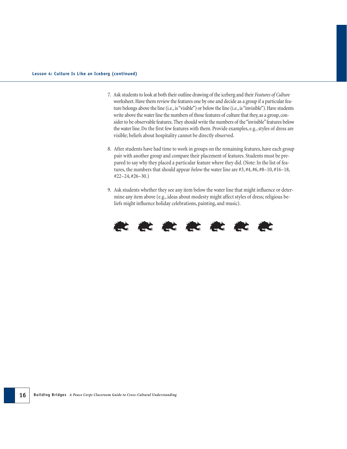- 7. Ask students to look at both their outline drawing of the iceberg and their *Features of Culture* worksheet. Have them review the features one by one and decide as a group if a particular feature belongs above the line (i.e., is "visible") or below the line (i.e., is "invisible"). Have students write above the water line the numbers of those features of culture that they, as a group, consider to be observable features. They should write the numbers of the "invisible" features below the water line. Do the first few features with them. Provide examples, e.g., styles of dress are visible; beliefs about hospitality cannot be directly observed.
- 8. After students have had time to work in groups on the remaining features, have each group pair with another group and compare their placement of features. Students must be prepared to say why they placed a particular feature where they did. (Note: In the list of features, the numbers that should appear *below* the water line are #3, #4, #6, #8–10, #16–18, #22–24, #26–30.)
- 9. Ask students whether they see any item below the water line that might influence or determine any item above (e.g., ideas about modesty might affect styles of dress; religious beliefs might influence holiday celebrations, painting, and music).

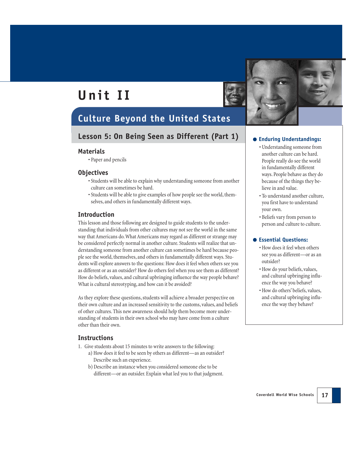# **Unit II**

# **Culture Beyond the United States**

# **Lesson 5: On Being Seen as Different (Part 1)**

#### **Materials**

• Paper and pencils

#### **Objectives**

- Students will be able to explain why understanding someone from another culture can sometimes be hard.
- Students will be able to give examples of how people see the world, themselves, and others in fundamentally different ways.

#### **Introduction**

This lesson and those following are designed to guide students to the understanding that individuals from other cultures may not see the world in the same way that Americans do. What Americans may regard as different or strange may be considered perfectly normal in another culture. Students will realize that understanding someone from another culture can sometimes be hard because people see the world, themselves, and others in fundamentally different ways. Students will explore answers to the questions: How does it feel when others see you as different or as an outsider? How do others feel when you see them as different? How do beliefs, values, and cultural upbringing influence the way people behave? What is cultural stereotyping, and how can it be avoided?

As they explore these questions, students will achieve a broader perspective on their own culture and an increased sensitivity to the customs, values, and beliefs of other cultures. This new awareness should help them become more understanding of students in their own school who may have come from a culture other than their own.

#### **Instructions**

- 1. Give students about 15 minutes to write answers to the following:
	- a) How does it feel to be seen by others as different—as an outsider? Describe such an experience.
	- b) Describe an instance when you considered someone else to be different—or an outsider. Explain what led you to that judgment.



#### **Enduring Understandings:**

- Understanding someone from another culture can be hard. People really do see the world in fundamentally different ways. People behave as they do because of the things they believe in and value.
- To understand another culture, you first have to understand your own.
- Beliefs vary from person to person and culture to culture.

#### **Essential Questions:**

- How does it feel when others see you as different—or as an outsider?
- How do your beliefs, values, and cultural upbringing influence the way you behave?
- How do others' beliefs, values, and cultural upbringing influence the way they behave?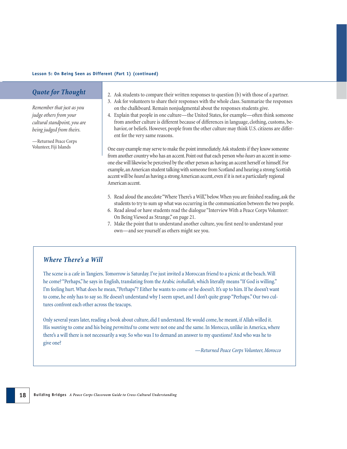#### **Lesson 5: On Being Seen as Different (Part 1) (continued)**

#### *Quote for Thought*

*Remember that just as you judge others from your cultural standpoint, you are being judged from theirs.*

—Returned Peace Corps Volunteer, Fiji Islands

- 2. Ask students to compare their written responses to question (b) with those of a partner.
- 3. Ask for volunteers to share their responses with the whole class. Summarize the responses on the chalkboard. Remain nonjudgmental about the responses students give.
- 4. Explain that people in one culture—the United States, for example—often think someone from another culture is different because of differences in language, clothing, customs, behavior, or beliefs. However, people from the other culture may think U.S. citizens are different for the very same reasons.

One easy example may serve to make the point immediately.Ask students if they know someone from another country who has an accent.Point out that each person who *hears* an accent in someone else will likewise be perceived by the other person as having an accent herself or himself. For example, an American student talking with someone from Scotland and hearing a strong Scottish accent will be *heard* as having a strong American accent, even if it is not a particularly regional American accent.

- 5. Read aloud the anecdote "Where There's a Will,"below.When you are finished reading, ask the students to try to sum up what was occurring in the communication between the two people.
- 6. Read aloud or have students read the dialogue "Interview With a Peace Corps Volunteer: On Being Viewed as Strange," on page 21.
- 7. Make the point that to understand another culture, you first need to understand your own—and see yourself as others might see you.

### *Where There's a Will*

The scene is a cafe in Tangiers. Tomorrow is Saturday. I've just invited a Moroccan friend to a picnic at the beach. Will he come? "Perhaps," he says in English, translating from the Arabic *inshallah,* which literally means "If God is willing." I'm feeling hurt. What does he mean,"Perhaps"? Either he wants to come or he doesn't. It's up to him. If he doesn't want to come, he only has to say so. He doesn't understand why I seem upset, and I don't quite grasp "Perhaps." Our two cultures confront each other across the teacups.

Only several years later, reading a book about culture, did I understand. He would come, he meant, if Allah willed it. His *wanting*to come and his being *permitted* to come were not one and the same. In Morocco, unlike in America, where there's a will there is not necessarily a way. So who was I to demand an answer to my questions? And who was he to give one?

—*Returned Peace Corps Volunteer, Morocco*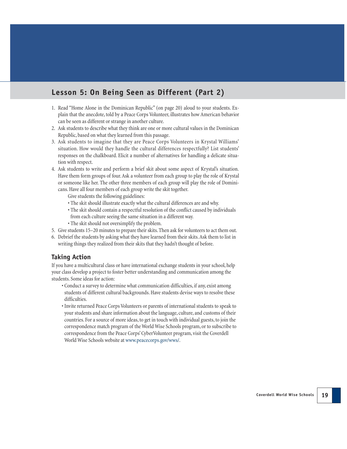# **Lesson 5: On Being Seen as Different (Part 2)**

- 1. Read "Home Alone in the Dominican Republic" (on page 20) aloud to your students. Explain that the anecdote, told by a Peace Corps Volunteer, illustrates how American behavior can be seen as different or strange in another culture.
- 2. Ask students to describe what they think are one or more cultural values in the Dominican Republic, based on what they learned from this passage.
- 3. Ask students to imagine that they are Peace Corps Volunteers in Krystal Williams' situation. How would they handle the cultural differences respectfully? List students' responses on the chalkboard. Elicit a number of alternatives for handling a delicate situation with respect.
- 4. Ask students to write and perform a brief skit about some aspect of Krystal's situation. Have them form groups of four. Ask a volunteer from each group to play the role of Krystal or someone like her. The other three members of each group will play the role of Dominicans. Have all four members of each group write the skit together.
	- Give students the following guidelines:
	- The skit should illustrate exactly what the cultural differences are and why.
	- The skit should contain a respectful resolution of the conflict caused by individuals from each culture seeing the same situation in a different way.
	- The skit should not oversimplify the problem.
- 5. Give students 15–20 minutes to prepare their skits. Then ask for volunteers to act them out.
- 6. Debrief the students by asking what they have learned from their skits. Ask them to list in writing things they realized from their skits that they hadn't thought of before.

#### **Taking Action**

If you have a multicultural class or have international exchange students in your school, help your class develop a project to foster better understanding and communication among the students. Some ideas for action:

- Conduct a survey to determine what communication difficulties, if any, exist among students of different cultural backgrounds. Have students devise ways to resolve these difficulties.
- Invite returned Peace Corps Volunteers or parents of international students to speak to your students and share information about the language, culture, and customs of their countries. For a source of more ideas, to get in touch with individual guests, to join the correspondence match program of the World Wise Schools program, or to subscribe to correspondence from the Peace Corps' CyberVolunteer program, visit the Coverdell World Wise Schools website at www.peacecorps.gov/wws/.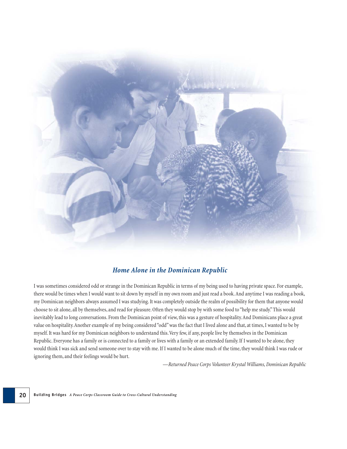

### *Home Alone in the Dominican Republic*

I was sometimes considered odd or strange in the Dominican Republic in terms of my being used to having private space. For example, there would be times when I would want to sit down by myself in my own room and just read a book. And anytime I was reading a book, my Dominican neighbors always assumed I was studying. It was completely outside the realm of possibility for them that anyone would choose to sit alone, all by themselves, and read for pleasure. Often they would stop by with some food to "help me study." This would inevitably lead to long conversations. From the Dominican point of view, this was a gesture of hospitality. And Dominicans place a great value on hospitality. Another example of my being considered "odd" was the fact that I lived alone and that, at times, I wanted to be by myself. It was hard for my Dominican neighbors to understand this. Very few, if any, people live by themselves in the Dominican Republic. Everyone has a family or is connected to a family or lives with a family or an extended family. If I wanted to be alone, they would think I was sick and send someone over to stay with me. If I wanted to be alone much of the time, they would think I was rude or ignoring them, and their feelings would be hurt.

—*Returned Peace Corps Volunteer Krystal Williams, Dominican Republic*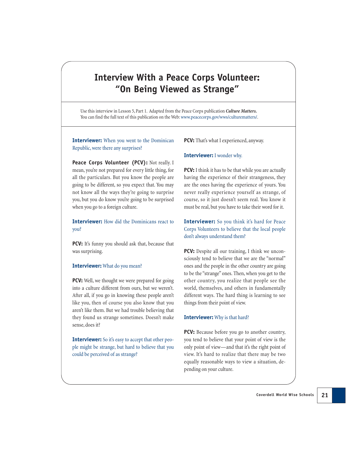# **Interview With a Peace Corps Volunteer: "On Being Viewed as Strange"**

Use this interview in Lesson 5, Part 1. Adapted from the Peace Corps publication *Culture Matters***.** You can find the full text of this publication on the Web: www.peacecorps.gov/wws/culturematters/.

**Interviewer:** When you went to the Dominican Republic, were there any surprises?

**Peace Corps Volunteer (PCV): Not really. I** mean, you're not prepared for every little thing, for all the particulars. But you know the people are going to be different, so you expect that. You may not know all the ways they're going to surprise you, but you do know you're going to be surprised when you go to a foreign culture.

**Interviewer:** How did the Dominicans react to you?

**PCV:** It's funny you should ask that, because that was surprising.

#### **Interviewer:** What do you mean?

**PCV:** Well, we thought we were prepared for going into a culture different from ours, but we weren't. After all, if you go in knowing these people aren't like you, then of course you also know that you aren't like them. But we had trouble believing that they found us strange sometimes. Doesn't make sense, does it?

**Interviewer:** So it's easy to accept that other people might be strange, but hard to believe that you could be perceived of as strange?

**PCV:** That's what I experienced, anyway.

#### **Interviewer:** I wonder why.

**PCV:** I think it has to be that while you are actually having the experience of their strangeness, they are the ones having the experience of yours. You never really experience yourself as strange, of course, so it just doesn't seem real. You know it must be real, but you have to take their word for it.

**Interviewer:** So you think it's hard for Peace Corps Volunteers to believe that the local people don't always understand them?

**PCV:** Despite all our training, I think we unconsciously tend to believe that we are the "normal" ones and the people in the other country are going to be the "strange" ones. Then, when you get to the other country, you realize that people see the world, themselves, and others in fundamentally different ways. The hard thing is learning to see things from their point of view.

#### **Interviewer:** Why is that hard?

**PCV:** Because before you go to another country, you tend to believe that your point of view is the only point of view—and that it's the right point of view. It's hard to realize that there may be two equally reasonable ways to view a situation, depending on your culture.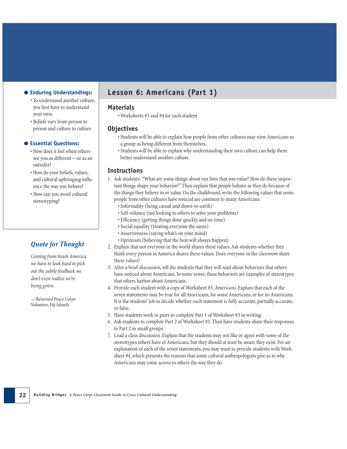#### **Enduring Understandings:**

- To understand another culture, you first have to understand your own.
- Beliefs vary from person to person and culture to culture.

#### **Essential Questions:**

- How does it feel when others see you as different—or as an outsider?
- How do your beliefs, values, and cultural upbringing influence the way you behave?
- How can you avoid cultural stereotyping?

### *Quote for Thought*

*Coming from brash America, we have to look hard to pick out the subtle feedback we don't even realize we're being given.*

—Returned Peace Corps Volunteer, Fiji Islands

# **Lesson 6: Americans (Part 1)**

#### **Materials**

• Worksheets #3 and #4 for each student

#### **Objectives**

- Students will be able to explain how people from other cultures may view Americans as a group as being different from themselves.
- Students will be able to explain why understanding their own culture can help them better understand another culture.

#### **Instructions**

- 1. Ask students: "What are some things about our lives that you value? How do these important things shape your behavior?" Then explain that people behave as they do because of the things they believe in or value. On the chalkboard, write the following values that some people from other cultures have noticed are common to many Americans:
	- Informality (being casual and down-to-earth)
	- Self-reliance (not looking to others to solve your problems)
	- Efficiency (getting things done quickly and on time)
	- Social equality (treating everyone the same)
	- Assertiveness (saying what's on your mind)
	- Optimism (believing that the best will always happen)
- 2. Explain that not everyone in the world shares these values. Ask students whether they think every person in America shares these values. Does everyone in the *classroom* share these values?
- 3. After a brief discussion, tell the students that they will read about behaviors that others have noticed about Americans. In some sense, these behaviors are examples of stereotypes that others harbor about Americans.
- 4. Provide each student with a copy of Worksheet #3,*Americans*. Explain that each of the seven statements may be true for all Americans, for some Americans, or for no Americans. It is the students' job to decide whether each statement is fully accurate, partially accurate, or false.
- 5. Have students work in pairs to complete Part 1 of Worksheet #3 in writing.
- 6. Ask students to complete Part 2 of Worksheet #3. Then have students share their responses to Part 2 in small groups.
- 7. Lead a class discussion. Explain that the students may not like or agree with some of the stereotypes others have of Americans, but they should at least be aware they exist. For an explanation of each of the seven statements, you may want to provide students with Worksheet #4, which presents the reasons that some cultural anthropologists give as to why Americans may come across to others the way they do.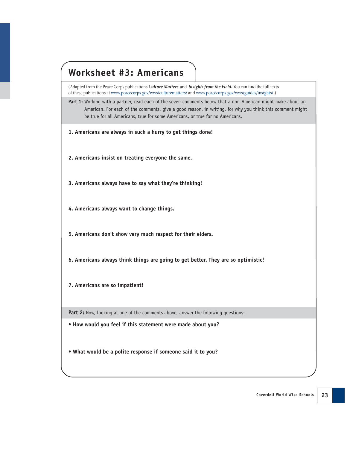# **Worksheet #3: Americans**

(Adapted from the Peace Corps publications *Culture Matters* and *Insights from the Field***.** You can find the full texts of these publications at www.peacecorps.gov/wws/culturematters/ and www.peacecorps.gov/wws/guides/insights/.)

- Part 1: Working with a partner, read each of the seven comments below that a non-American might make about an American. For each of the comments, give a good reason, in writing, for why you think this comment might be true for all Americans, true for some Americans, or true for no Americans.
- **1. Americans are always in such a hurry to get things done!**
- **2. Americans insist on treating everyone the same.**
- **3. Americans always have to say what they're thinking!**
- **4. Americans always want to change things.**
- **5. Americans don't show very much respect for their elders.**
- **6. Americans always think things are going to get better. They are so optimistic!**
- **7. Americans are so impatient!**

**Part 2:** Now, looking at one of the comments above, answer the following questions:

- **How would you feel if this statement were made about you?**
- **What would be a polite response if someone said it to you?**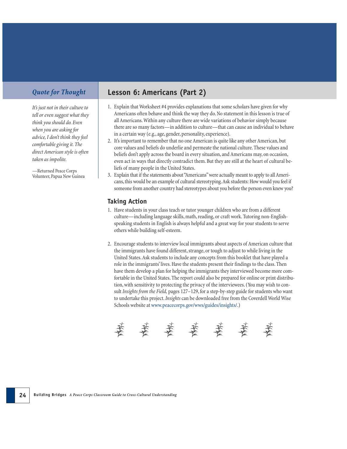#### *Quote for Thought*

*It's just not in their culture to tell or even suggest what they think you should do. Even when you are asking for advice, I don't think they feel comfortable giving it. The direct American style is often taken as impolite.*

—Returned Peace Corps Volunteer, Papua New Guinea

### **Lesson 6: Americans (Part 2)**

- 1. Explain that Worksheet #4 provides explanations that some scholars have given for why Americans often behave and think the way they do. No statement in this lesson is true of all Americans. Within any culture there are wide variations of behavior simply because there are so many factors—in addition to culture—that can cause an individual to behave in a certain way (e.g., age, gender, personality, experience).
- 2. It's important to remember that no one American is quite like any other American, but core values and beliefs do underlie and permeate the national culture. These values and beliefs don't apply across the board in every situation, and Americans may, on occasion, even act in ways that directly contradict them. But they are still at the heart of cultural beliefs of many people in the United States.
- 3. Explain that if the statements about "Americans"were actually meant to apply to all Americans, this would be an example of cultural stereotyping.Ask students: How would you feel if someone from another country had stereotypes about you before the person even knew you?

### **Taking Action**

- 1. Have students in your class teach or tutor younger children who are from a different culture—including language skills, math, reading, or craft work. Tutoring non-Englishspeaking students in English is always helpful and a great way for your students to serve others while building self-esteem.
- 2. Encourage students to interview local immigrants about aspects of American culture that the immigrants have found different, strange, or tough to adjust to while living in the United States. Ask students to include any concepts from this booklet that have played a role in the immigrants' lives. Have the students present their findings to the class. Then have them develop a plan for helping the immigrants they interviewed become more comfortable in the United States. The report could also be prepared for online or print distribution, with sensitivity to protecting the privacy of the interviewees. (You may wish to consult *Insights from the Field,* pages 127–129, for a step-by-step guide for students who want to undertake this project.*Insights*can be downloaded free from the Coverdell World Wise Schools website at www.peacecorps.gov/wws/guides/insights/.)

$$
\begin{array}{ccccccccccccc}\n\mathbf{\mathcal{Z}} & \mathbf{\mathcal{Z}} & \mathbf{\mathcal{Z}} & \mathbf{\mathcal{Z}} & \mathbf{\mathcal{Z}} & \mathbf{\mathcal{Z}} & \mathbf{\mathcal{Z}} & \mathbf{\mathcal{Z}} & \mathbf{\mathcal{Z}} & \mathbf{\mathcal{Z}} & \mathbf{\mathcal{Z}} & \mathbf{\mathcal{Z}} & \mathbf{\mathcal{Z}} & \mathbf{\mathcal{Z}} & \mathbf{\mathcal{Z}} & \mathbf{\mathcal{Z}} & \mathbf{\mathcal{Z}} & \mathbf{\mathcal{Z}} & \mathbf{\mathcal{Z}} & \mathbf{\mathcal{Z}} & \mathbf{\mathcal{Z}} & \mathbf{\mathcal{Z}} & \mathbf{\mathcal{Z}} & \mathbf{\mathcal{Z}} & \mathbf{\mathcal{Z}} & \mathbf{\mathcal{Z}} & \mathbf{\mathcal{Z}} & \mathbf{\mathcal{Z}} & \mathbf{\mathcal{Z}} & \mathbf{\mathcal{Z}} & \mathbf{\mathcal{Z}} & \mathbf{\mathcal{Z}} & \mathbf{\mathcal{Z}} & \mathbf{\mathcal{Z}} & \mathbf{\mathcal{Z}} & \mathbf{\mathcal{Z}} & \mathbf{\mathcal{Z}} & \mathbf{\mathcal{Z}} & \mathbf{\mathcal{Z}} & \mathbf{\mathcal{Z}} & \mathbf{\mathcal{Z}} & \mathbf{\mathcal{Z}} & \mathbf{\mathcal{Z}} & \mathbf{\mathcal{Z}} & \mathbf{\mathcal{Z}} & \mathbf{\mathcal{Z}} & \mathbf{\mathcal{Z}} & \mathbf{\mathcal{Z}} & \mathbf{\mathcal{Z}} & \mathbf{\mathcal{Z}} & \mathbf{\mathcal{Z}} & \mathbf{\mathcal{Z}} & \mathbf{\mathcal{Z}} & \mathbf{\mathcal{Z}} & \mathbf{\mathcal{Z}} & \mathbf{\mathcal{Z}} & \mathbf{\mathcal{Z}} & \mathbf{\mathcal{Z}} & \mathbf{\mathcal{Z}} & \mathbf{\mathcal{Z}} & \mathbf{\mathcal{Z}} & \mathbf{\mathcal{Z}} & \mathbf{\mathcal{Z}} & \mathbf{\mathcal{Z}} & \mathbf{\mathcal{Z}} & \mathbf{\mathcal{Z}} & \mathbf{\mathcal{Z}} & \mathbf{\mathcal{Z}} & \mathbf{\mathcal{Z}} & \mathbf{\mathcal{Z}} & \mathbf{\mathcal{Z}} & \mathbf{\mathcal{Z}} & \mathbf{\mathcal{Z}} & \mathbf{\mathcal{Z}} & \mathbf{\mathcal{Z}}
$$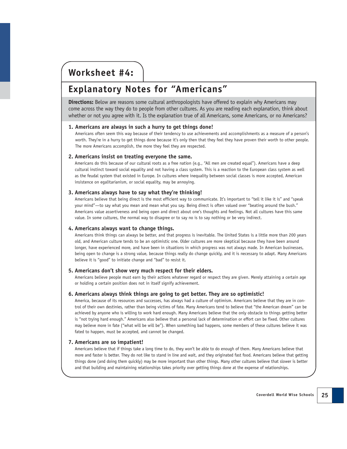# **Worksheet #4:**

# **Explanatory Notes for "Americans"**

**Directions:** Below are reasons some cultural anthropologists have offered to explain why Americans may come across the way they do to people from other cultures. As you are reading each explanation, think about whether or not you agree with it. Is the explanation true of all Americans, some Americans, or no Americans?

#### **1. Americans are always in such a hurry to get things done!**

Americans often seem this way because of their tendency to use achievements and accomplishments as a measure of a person's worth. They're in a hurry to get things done because it's only then that they feel they have proven their worth to other people. The more Americans accomplish, the more they feel they are respected.

#### **2. Americans insist on treating everyone the same.**

Americans do this because of our cultural roots as a free nation (e.g., "All men are created equal"). Americans have a deep cultural instinct toward social equality and not having a class system. This is a reaction to the European class system as well as the feudal system that existed in Europe. In cultures where inequality between social classes is more accepted, American insistence on egalitarianism, or social equality, may be annoying.

#### **3. Americans always have to say what they're thinking!**

Americans believe that being direct is the most efficient way to communicate. It's important to "tell it like it is" and "speak your mind"—to say what you mean and mean what you say. Being direct is often valued over "beating around the bush." Americans value assertiveness and being open and direct about one's thoughts and feelings. Not all cultures have this same value. In some cultures, the normal way to disagree or to say no is to say nothing or be very indirect.

#### **4. Americans always want to change things.**

Americans think things can always be better, and that progress is inevitable. The United States is a little more than 200 years old, and American culture tends to be an optimistic one. Older cultures are more skeptical because they have been around longer, have experienced more, and have been in situations in which progress was not always made. In American businesses, being open to change is a strong value, because things really do change quickly, and it is necessary to adapt. Many Americans believe it is "good" to initiate change and "bad" to resist it.

#### **5. Americans don't show very much respect for their elders.**

Americans believe people must earn by their actions whatever regard or respect they are given. Merely attaining a certain age or holding a certain position does not in itself signify achievement.

#### **6. Americans always think things are going to get better. They are so optimistic!**

America, because of its resources and successes, has always had a culture of optimism. Americans believe that they are in control of their own destinies, rather than being victims of fate. Many Americans tend to believe that "the American dream" can be achieved by anyone who is willing to work hard enough. Many Americans believe that the only obstacle to things getting better is "not trying hard enough." Americans also believe that a personal lack of determination or effort can be fixed. Other cultures may believe more in fate ("what will be will be"). When something bad happens, some members of these cultures believe it was fated to happen, must be accepted, and cannot be changed.

#### **7. Americans are so impatient!**

Americans believe that if things take a long time to do, they won't be able to do enough of them. Many Americans believe that more and faster is better. They do not like to stand in line and wait, and they originated fast food. Americans believe that getting things done (and doing them quickly) may be more important than other things. Many other cultures believe that slower is better and that building and maintaining relationships takes priority over getting things done at the expense of relationships.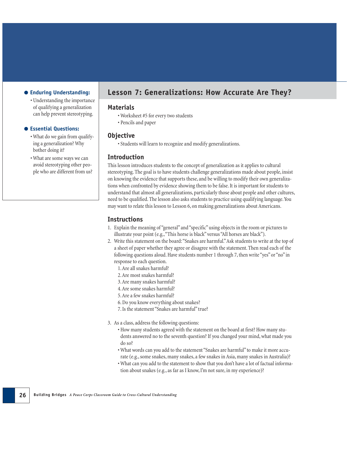#### **Enduring Understanding:**

• Understanding the importance of qualifying a generalization can help prevent stereotyping.

#### **Essential Questions:**

- What do we gain from qualifying a generalization? Why bother doing it?
- What are some ways we can avoid stereotyping other people who are different from us?

### **Lesson 7: Generalizations: How Accurate Are They?**

#### **Materials**

- Worksheet #5 for every two students
- Pencils and paper

#### **Objective**

• Students will learn to recognize and modify generalizations.

#### **Introduction**

This lesson introduces students to the concept of generalization as it applies to cultural stereotyping. The goal is to have students challenge generalizations made about people, insist on knowing the evidence that supports these, and be willing to modify their own generalizations when confronted by evidence showing them to be false. It is important for students to understand that almost all generalizations, particularly those about people and other cultures, need to be qualified. The lesson also asks students to practice using qualifying language.You may want to relate this lesson to Lesson 6, on making generalizations about Americans.

#### **Instructions**

- 1. Explain the meaning of "general" and "specific" using objects in the room or pictures to illustrate your point (e.g.,"This horse is black" versus "All horses are black").
- 2. Write this statement on the board: "Snakes are harmful."Ask students to write at the top of a sheet of paper whether they agree or disagree with the statement. Then read each of the following questions aloud. Have students number 1 through 7, then write "yes" or "no" in response to each question.
	- 1. Are all snakes harmful?
	- 2. Are most snakes harmful?
	- 3. Are many snakes harmful?
	- 4. Are some snakes harmful?
	- 5. Are a few snakes harmful?
	- 6. Do you know everything about snakes?
	- 7. Is the statement "Snakes are harmful" true?
- 3. As a class, address the following questions:
	- How many students agreed with the statement on the board at first? How many students answered no to the seventh question? If you changed your mind, what made you do so?
	- What words can you add to the statement "Snakes are harmful" to make it more accurate (e.g., some snakes, many snakes, a few snakes in Asia, many snakes in Australia)?
	- What can you add to the statement to show that you don't have a lot of factual information about snakes (e.g., as far as I know, I'm not sure, in my experience)?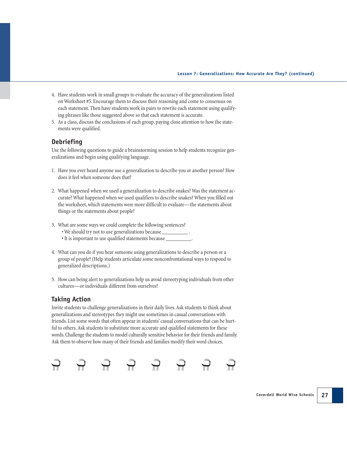- 4. Have students work in small groups to evaluate the accuracy of the generalizations listed on Worksheet #5. Encourage them to discuss their reasoning and come to consensus on each statement. Then have students work in pairs to rewrite each statement using qualifying phrases like those suggested above so that each statement is accurate.
- 5. As a class, discuss the conclusions of each group, paying close attention to how the statements were qualified.

#### **Debriefing**

Use the following questions to guide a brainstorming session to help students recognize generalizations and begin using qualifying language.

- 1. Have you ever heard anyone use a generalization to describe you or another person? How does it feel when someone does that?
- 2. What happened when we used a generalization to describe snakes? Was the statement accurate? What happened when we used qualifiers to describe snakes? When you filled out the worksheet, which statements were more difficult to evaluate—the statements about things or the statements about people?
- 3. What are some ways we could complete the following sentences?
	- We should try not to use generalizations because \_\_\_\_\_\_\_\_\_ .
	- It is important to use qualified statements because \_\_\_\_\_\_\_\_\_.
- 4. What can you do if you hear someone using generalizations to describe a person or a group of people? (Help students articulate some nonconfrontational ways to respond to generalized descriptions.)
- 5. How can being alert to generalizations help us avoid stereotyping individuals from other cultures—or individuals different from ourselves?

#### **Taking Action**

Invite students to challenge generalizations in their daily lives. Ask students to think about generalizations and stereotypes they might use sometimes in casual conversations with friends. List some words that often appear in students' casual conversations that can be hurtful to others. Ask students to substitute more accurate and qualified statements for these words. Challenge the students to model culturally sensitive behavior for their friends and family. Ask them to observe how many of their friends and families modify their word choices.

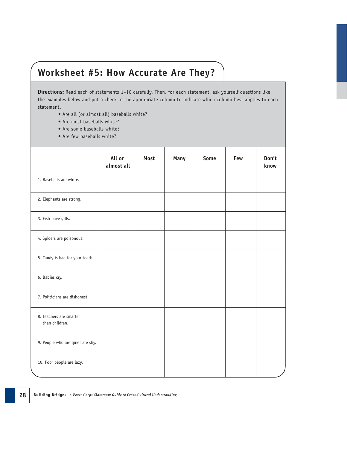# **Worksheet #5: How Accurate Are They?**

**Directions:** Read each of statements 1–10 carefully. Then, for each statement, ask yourself questions like the examples below and put a check in the appropriate column to indicate which column best applies to each statement.

- Are all (or almost all) baseballs white?
- Are most baseballs white?
- Are some baseballs white?
- Are few baseballs white?

|                                           | All or<br>almost all | Most | Many | <b>Some</b> | Few | Don't<br>know |
|-------------------------------------------|----------------------|------|------|-------------|-----|---------------|
| 1. Baseballs are white.                   |                      |      |      |             |     |               |
| 2. Elephants are strong.                  |                      |      |      |             |     |               |
| 3. Fish have gills.                       |                      |      |      |             |     |               |
| 4. Spiders are poisonous.                 |                      |      |      |             |     |               |
| 5. Candy is bad for your teeth.           |                      |      |      |             |     |               |
| 6. Babies cry.                            |                      |      |      |             |     |               |
| 7. Politicians are dishonest.             |                      |      |      |             |     |               |
| 8. Teachers are smarter<br>than children. |                      |      |      |             |     |               |
| 9. People who are quiet are shy.          |                      |      |      |             |     |               |
| 10. Poor people are lazy.                 |                      |      |      |             |     |               |

**28 Building Bridges** *A Peace Corps Classroom Guide to Cross-Cultural Understanding*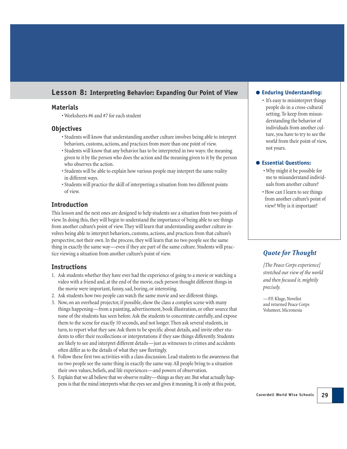### **Lesson 8: Interpreting Behavior: Expanding Our Point of View**

#### **Materials**

• Worksheets #6 and #7 for each student

#### **Objectives**

- Students will know that understanding another culture involves being able to interpret behaviors, customs, actions, and practices from more than one point of view.
- Students will know that any behavior has to be interpreted in two ways: the meaning given to it by the person who does the action and the meaning given to it by the person who observes the action.
- Students will be able to explain how various people may interpret the same reality in different ways.
- Students will practice the skill of interpreting a situation from two different points of view.

### **Introduction**

This lesson and the next ones are designed to help students see a situation from two points of view. In doing this, they will begin to understand the importance of being able to see things from another culture's point of view. They will learn that understanding another culture involves being able to interpret behaviors, customs, actions, and practices from that culture's perspective, not their own. In the process, they will learn that no two people see the same thing in exactly the same way—even if they are part of the same culture. Students will practice viewing a situation from another culture's point of view.

### **Instructions**

- 1. Ask students whether they have ever had the experience of going to a movie or watching a video with a friend and, at the end of the movie, each person thought different things in the movie were important, funny, sad, boring, or interesting.
- 2. Ask students how two people can watch the same movie and see different things.
- 3. Now, on an overhead projector, if possible, show the class a complex scene with many things happening—from a painting, advertisement, book illustration, or other source that none of the students has seen before. Ask the students to concentrate carefully, and expose them to the scene for exactly 10 seconds, and not longer. Then ask several students, in turn, to report what they saw. Ask them to be specific about details, and invite other students to offer their recollections or interpretations if they saw things differently. Students are likely to see and interpret different details—just as witnesses to crimes and accidents often differ as to the details of what they saw fleetingly.
- 4. Follow these first two activities with a class discussion. Lead students to the awareness that no two people see the same thing in exactly the same way. All people bring to a situation their own values, beliefs, and life experiences—and powers of observation.
- 5. Explain that we all believe that we observe reality—things as they are. But what actually happens is that the mind interprets what the eyes see and gives it meaning. It is only at this point,

#### **Enduring Understanding:**

• It's easy to misinterpret things people do in a cross-cultural setting. To keep from misunderstanding the behavior of individuals from another culture, you have to try to see the world from their point of view, not yours.

#### **Essential Questions:**

- Why might it be possible for me to misunderstand individuals from another culture?
- How can I learn to see things from another culture's point of view? Why is it important?

# *Quote for Thought*

*[The Peace Corps experience] stretched our view of the world and then focused it, mightily precisely.*

—P.F. Kluge, Novelist and returned Peace Corps Volunteer, Micronesia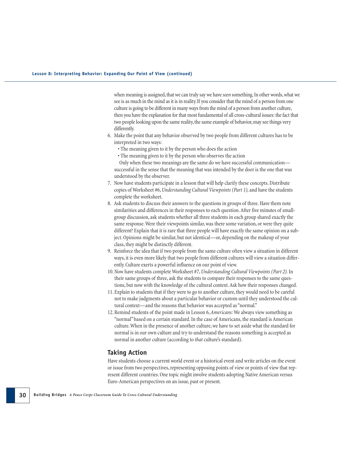#### **Lesson 8: Interpreting Behavior: Expanding Our Point of View (continued)**

when meaning is assigned, that we can truly say we have *seen* something. In other words, what we see is as much in the mind as it is in reality. If you consider that the mind of a person from one culture is going to be different in many ways from the mind of a person from another culture, then you have the explanation for that most fundamental of all cross-cultural issues: the fact that two people looking upon the same reality, the same example of behavior, may see things very differently.

- 6. Make the point that any behavior observed by two people from different cultures has to be interpreted in two ways:
	- The meaning given to it by the person who does the action
	- The meaning given to it by the person who observes the action

Only when these two meanings are the same do we have successful communication successful in the sense that the meaning that was intended by the doer is the one that was understood by the observer.

- 7. Now have students participate in a lesson that will help clarify these concepts. Distribute copies of Worksheet #6,*Understanding Cultural Viewpoints (Part 1),* and have the students complete the worksheet.
- 8. Ask students to discuss their answers to the questions in groups of three. Have them note similarities and differences in their responses to each question. After five minutes of smallgroup discussion, ask students whether all three students in each group shared exactly the same response. Were their viewpoints similar, was there some variation, or were they quite different? Explain that it is rare that three people will have exactly the same opinion on a subject. Opinions might be similar, but not identical—or, depending on the makeup of your class, they might be distinctly different.
- 9. Reinforce the idea that if two people from the same culture often view a situation in different ways, it is even more likely that two people from different cultures will view a situation differently. Culture exerts a powerful influence on our point of view.
- 10. Now have students complete Worksheet #7,*Understanding Cultural Viewpoints (Part 2).*In their same groups of three, ask the students to compare their responses to the same questions, but now with the knowledge of the cultural context. Ask how their responses changed.
- 11. Explain to students that if they were to go to another culture, they would need to be careful not to make judgments about a particular behavior or custom until they understood the cultural context—and the reasons that behavior was accepted as "normal."
- 12. Remind students of the point made in Lesson 6,*Americans:* We always view something as "normal" based on a certain standard. In the case of Americans, the standard is American culture. When in the presence of another culture, we have to set aside what the standard for normal is in our own culture and try to understand the reasons something is accepted as normal in another culture (according to *that* culture's standard).

#### **Taking Action**

Have students choose a current world event or a historical event and write articles on the event or issue from two perspectives, representing opposing points of view or points of view that represent different countries. One topic might involve students adopting Native American versus Euro-American perspectives on an issue, past or present.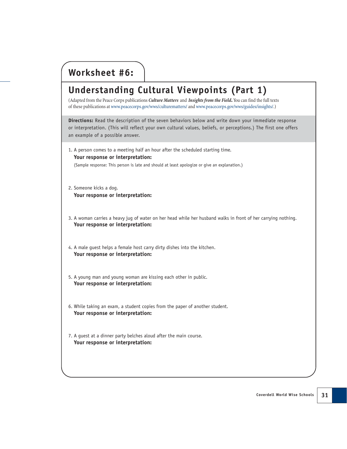# **Worksheet #6:**

# **Understanding Cultural Viewpoints (Part 1)**

(Adapted from the Peace Corps publications *Culture Matters* and *Insights from the Field***.** You can find the full texts of these publications at www.peacecorps.gov/wws/culturematters/ and www.peacecorps.gov/wws/guides/insights/.)

**Directions:** Read the description of the seven behaviors below and write down your immediate response or interpretation. (This will reflect your own cultural values, beliefs, or perceptions.) The first one offers an example of a possible answer.

1. A person comes to a meeting half an hour after the scheduled starting time. **Your response or interpretation:** 

(Sample response: This person is late and should at least apologize or give an explanation.)

- 2. Someone kicks a dog. **Your response or interpretation:**
- 3. A woman carries a heavy jug of water on her head while her husband walks in front of her carrying nothing. **Your response or interpretation:**
- 4. A male guest helps a female host carry dirty dishes into the kitchen. **Your response or interpretation:**
- 5. A young man and young woman are kissing each other in public. **Your response or interpretation:**
- 6. While taking an exam, a student copies from the paper of another student. **Your response or interpretation:**
- 7. A guest at a dinner party belches aloud after the main course. **Your response or interpretation:**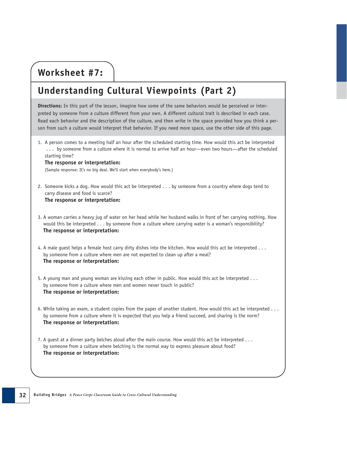# **Worksheet #7:**

# **Understanding Cultural Viewpoints (Part 2)**

**Directions:** In this part of the lesson, imagine how some of the same behaviors would be perceived or interpreted by someone from a culture different from your own. A different cultural trait is described in each case. Read each behavior and the description of the culture, and then write in the space provided how you think a person from such a culture would interpret that behavior. If you need more space, use the other side of this page.

1. A person comes to a meeting half an hour after the scheduled starting time. How would this act be interpreted . . . by someone from a culture where it is normal to arrive half an hour—even two hours—after the scheduled starting time?

#### **The response or interpretation:**

(Sample response: It's no big deal. We'll start when everybody's here.)

- 2. Someone kicks a dog. How would this act be interpreted . . . by someone from a country where dogs tend to carry disease and food is scarce? **The response or interpretation:**
- 3. A woman carries a heavy jug of water on her head while her husband walks in front of her carrying nothing. How would this be interpreted . . . by someone from a culture where carrying water is a woman's responsibility? **The response or interpretation:**
- 4. A male guest helps a female host carry dirty dishes into the kitchen. How would this act be interpreted . . . by someone from a culture where men are not expected to clean up after a meal? **The response or interpretation:**
- 5. A young man and young woman are kissing each other in public. How would this act be interpreted . . . by someone from a culture where men and women never touch in public? **The response or interpretation:**
- 6. While taking an exam, a student copies from the paper of another student. How would this act be interpreted . . . by someone from a culture where it is expected that you help a friend succeed, and sharing is the norm? **The response or interpretation:**
- 7. A quest at a dinner party belches aloud after the main course. How would this act be interpreted . . . by someone from a culture where belching is the normal way to express pleasure about food? **The response or interpretation:**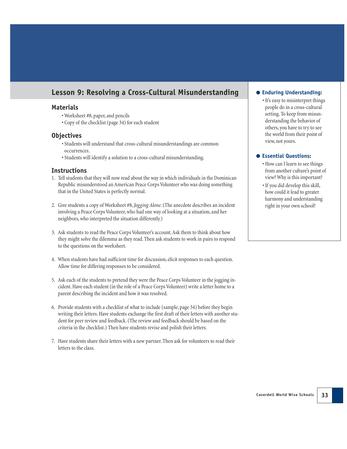# **Lesson 9: Resolving a Cross-Cultural Misunderstanding**

#### **Materials**

- Worksheet #8, paper, and pencils
- Copy of the checklist (page 34) for each student

#### **Objectives**

- Students will understand that cross-cultural misunderstandings are common occurrences.
- Students will identify a solution to a cross-cultural misunderstanding.

#### **Instructions**

- 1. Tell students that they will now read about the way in which individuals in the Dominican Republic misunderstood an American Peace Corps Volunteer who was doing something that in the United States is perfectly normal.
- 2. Give students a copy of Worksheet #8,*Jogging Alone*. (The anecdote describes an incident involving a Peace Corps Volunteer, who had one way of looking at a situation, and her neighbors, who interpreted the situation differently.)
- 3. Ask students to read the Peace Corps Volunteer's account. Ask them to think about how they might solve the dilemma as they read. Then ask students to work in pairs to respond to the questions on the worksheet.
- 4. When students have had sufficient time for discussion, elicit responses to each question. Allow time for differing responses to be considered.
- 5. Ask each of the students to pretend they were the Peace Corps Volunteer in the jogging incident. Have each student (in the role of a Peace Corps Volunteer) write a letter home to a parent describing the incident and how it was resolved.
- 6. Provide students with a checklist of what to include (sample, page 34) before they begin writing their letters. Have students exchange the first draft of their letters with another student for peer review and feedback. (The review and feedback should be based on the criteria in the checklist.) Then have students revise and polish their letters.
- 7. Have students share their letters with a new partner. Then ask for volunteers to read their letters to the class.

#### **Enduring Understanding:**

• It's easy to misinterpret things people do in a cross-cultural setting. To keep from misunderstanding the behavior of others, you have to try to see the world from their point of view, not yours.

#### **Essential Questions:**

- How can I learn to see things from another culture's point of view? Why is this important?
- If you did develop this skill, how could it lead to greater harmony and understanding right in your own school?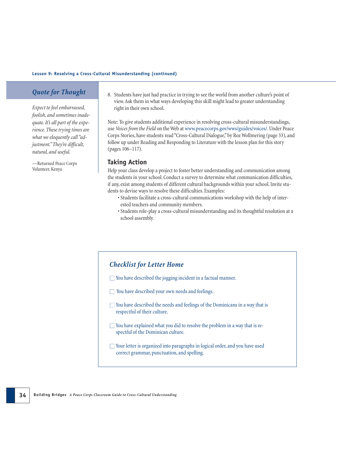#### **Lesson 9: Resolving a Cross-Cultural Misunderstanding (continued)**

#### *Quote for Thought*

*Expect to feel embarrassed, foolish, and sometimes inadequate. It's all part of the experience. These trying times are what we eloquently call "adjustment." They're difficult, natural, and useful.*

—Returned Peace Corps Volunteer, Kenya

8. Students have just had practice in trying to see the world from another culture's point of view. Ask them in what ways developing this skill might lead to greater understanding right in their own school.

Note: To give students additional experience in resolving cross-cultural misunderstandings, use *Voices from the Field* on the Web at www.peacecorps.gov/wws/guides/voices/. Under Peace Corps Stories, have students read "Cross-Cultural Dialogue," by Roz Wollmering (page 33), and follow up under Reading and Responding to Literature with the lesson plan for this story (pages 106–117).

#### **Taking Action**

Help your class develop a project to foster better understanding and communication among the students in your school. Conduct a survey to determine what communication difficulties, if any, exist among students of different cultural backgrounds within your school. Invite students to devise ways to resolve these difficulties. Examples:

- Students facilitate a cross-cultural communications workshop with the help of interested teachers and community members.
- Students role-play a cross-cultural misunderstanding and its thoughtful resolution at a school assembly.

#### *Checklist for Letter Home*

- $\Box$  You have described the jogging incident in a factual manner.
- $\Box$  You have described your own needs and feelings.
- $\Box$  You have described the needs and feelings of the Dominicans in a way that is respectful of their culture.
- $\Box$  You have explained what you did to resolve the problem in a way that is respectful of the Dominican culture.
- $\Box$  Your letter is organized into paragraphs in logical order, and you have used correct grammar, punctuation, and spelling.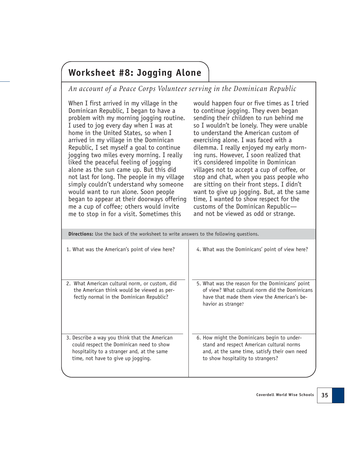# **Worksheet #8: Jogging Alone**

*An account of a Peace Corps Volunteer serving in the Dominican Republic*

When I first arrived in my village in the Dominican Republic, I began to have a problem with my morning jogging routine. I used to jog every day when I was at home in the United States, so when I arrived in my village in the Dominican Republic, I set myself a goal to continue jogging two miles every morning. I really liked the peaceful feeling of jogging alone as the sun came up. But this did not last for long. The people in my village simply couldn't understand why someone would want to run alone. Soon people began to appear at their doorways offering me a cup of coffee; others would invite me to stop in for a visit. Sometimes this

would happen four or five times as I tried to continue jogging. They even began sending their children to run behind me so I wouldn't be lonely. They were unable to understand the American custom of exercising alone. I was faced with a dilemma. I really enjoyed my early morning runs. However, I soon realized that it's considered impolite in Dominican villages not to accept a cup of coffee, or stop and chat, when you pass people who are sitting on their front steps. I didn't want to give up jogging. But, at the same time, I wanted to show respect for the customs of the Dominican Republic and not be viewed as odd or strange.

| <b>Directions:</b> Use the back of the worksheet to write answers to the following questions.                                                                                 |                                                                                                                                                                                |  |  |
|-------------------------------------------------------------------------------------------------------------------------------------------------------------------------------|--------------------------------------------------------------------------------------------------------------------------------------------------------------------------------|--|--|
| 1. What was the American's point of view here?                                                                                                                                | 4. What was the Dominicans' point of view here?                                                                                                                                |  |  |
| 2. What American cultural norm, or custom, did<br>the American think would be viewed as per-<br>fectly normal in the Dominican Republic?                                      | 5. What was the reason for the Dominicans' point<br>of view? What cultural norm did the Dominicans<br>have that made them view the American's be-<br>havior as strange?        |  |  |
| 3. Describe a way you think that the American<br>could respect the Dominican need to show<br>hospitality to a stranger and, at the same<br>time, not have to give up jogging. | 6. How might the Dominicans begin to under-<br>stand and respect American cultural norms<br>and, at the same time, satisfy their own need<br>to show hospitality to strangers? |  |  |
|                                                                                                                                                                               |                                                                                                                                                                                |  |  |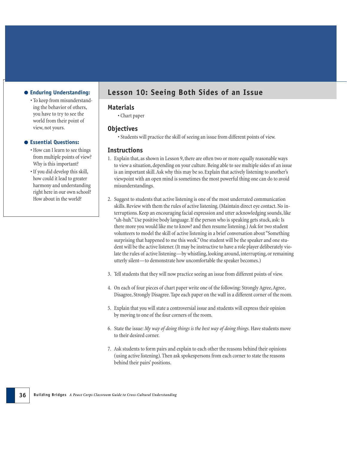#### **Enduring Understanding:**

• To keep from misunderstanding the behavior of others, you have to try to see the world from their point of view, not yours.

#### **Essential Questions:**

- How can I learn to see things from multiple points of view? Why is this important?
- If you did develop this skill, how could it lead to greater harmony and understanding right here in our own school? How about in the world?

# **Lesson 10: Seeing Both Sides of an Issue**

#### **Materials**

• Chart paper

#### **Objectives**

• Students will practice the skill of seeing an issue from different points of view.

#### **Instructions**

- 1. Explain that, as shown in Lesson 9, there are often two or more equally reasonable ways to view a situation, depending on your culture. Being able to see multiple sides of an issue is an important skill. Ask why this may be so. Explain that actively listening to another's viewpoint with an open mind is sometimes the most powerful thing one can do to avoid misunderstandings.
- 2. Suggest to students that active listening is one of the most underrated communication skills. Review with them the rules of active listening. (Maintain direct eye contact. No interruptions. Keep an encouraging facial expression and utter acknowledging sounds, like "uh-huh." Use positive body language. If the person who is speaking gets stuck, ask: Is there more you would like me to know? and then resume listening.) Ask for two student volunteers to model the skill of active listening in a brief conversation about "Something surprising that happened to me this week." One student will be the speaker and one student will be the active listener. (It may be instructive to have a role player deliberately violate the rules of active listening—by whistling, looking around, interrupting, or remaining utterly silent—to demonstrate how uncomfortable the speaker becomes.)
- 3. Tell students that they will now practice seeing an issue from different points of view.
- 4. On each of four pieces of chart paper write one of the following: Strongly Agree, Agree, Disagree, Strongly Disagree. Tape each paper on the wall in a different corner of the room.
- 5. Explain that you will state a controversial issue and students will express their opinion by moving to one of the four corners of the room.
- 6. State the issue: *My way of doing things is the best way of doing things.* Have students move to their desired corner.
- 7. Ask students to form pairs and explain to each other the reasons behind their opinions (using active listening). Then ask spokespersons from each corner to state the reasons behind their pairs' positions.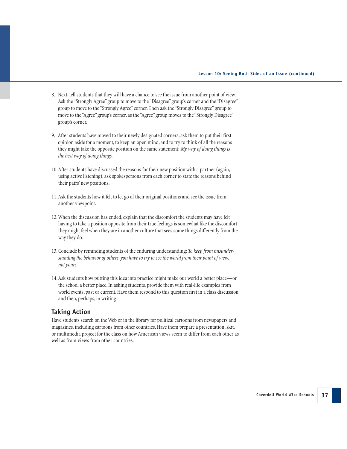- 8. Next, tell students that they will have a chance to see the issue from another point of view. Ask the "Strongly Agree" group to move to the "Disagree" group's corner and the "Disagree" group to move to the "Strongly Agree" corner. Then ask the "Strongly Disagree" group to move to the "Agree" group's corner, as the "Agree" group moves to the "Strongly Disagree" group's corner.
- 9. After students have moved to their newly designated corners, ask them to put their first opinion aside for a moment, to keep an open mind, and to try to think of all the reasons they might take the opposite position on the same statement: *My way of doing things is the best way of doing things.*
- 10.After students have discussed the reasons for their new position with a partner (again, using active listening), ask spokespersons from each corner to state the reasons behind their pairs' new positions.
- 11.Ask the students how it felt to let go of their original positions and see the issue from another viewpoint.
- 12.When the discussion has ended, explain that the discomfort the students may have felt having to take a position opposite from their true feelings is somewhat like the discomfort they might feel when they are in another culture that sees some things differently from the way they do.
- 13. Conclude by reminding students of the enduring understanding: *To keep from misunderstanding the behavior of others, you have to try to see the world from their point of view, not yours.*
- 14.Ask students how putting this idea into practice might make our world a better place—or the school a better place. In asking students, provide them with real-life examples from world events, past or current. Have them respond to this question first in a class discussion and then, perhaps, in writing.

#### **Taking Action**

Have students search on the Web or in the library for political cartoons from newspapers and magazines, including cartoons from other countries. Have them prepare a presentation, skit, or multimedia project for the class on how American views seem to differ from each other as well as from views from other countries.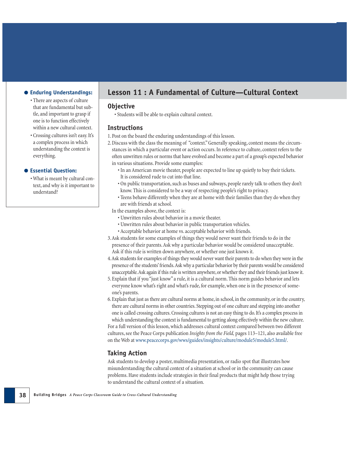#### **Enduring Understandings:**

- There are aspects of culture that are fundamental but subtle, and important to grasp if one is to function effectively within a new cultural context.
- Crossing cultures isn't easy. It's a complex process in which understanding the context is everything.

#### **Essential Question:**

• What is meant by cultural context, and why is it important to understand?

# **Lesson 11 : A Fundamental of Culture—Cultural Context**

#### **Objective**

• Students will be able to explain cultural context.

#### **Instructions**

- 1. Post on the board the enduring understandings of this lesson.
- 2. Discuss with the class the meaning of "context." Generally speaking, context means the circumstances in which a particular event or action occurs. In reference to culture, context refers to the often unwritten rules or norms that have evolved and become a part of a group's expected behavior in various situations. Provide some examples:
	- In an American movie theater, people are expected to line up quietly to buy their tickets. It is considered rude to cut into that line.
	- On public transportation, such as buses and subways, people rarely talk to others they don't know. This is considered to be a way of respecting people's right to privacy.
	- Teens behave differently when they are at home with their families than they do when they are with friends at school.

In the examples above, the context is:

- Unwritten rules about behavior in a movie theater.
- Unwritten rules about behavior in public transportation vehicles.
- Acceptable behavior at home vs. acceptable behavior with friends.
- 3.Ask students for some examples of things they would never want their friends to do in the presence of their parents. Ask why a particular behavior would be considered unacceptable. Ask if this rule is written down anywhere, or whether one just knows it.
- 4.Ask students for examples of things they would never want their parents to do when they were in the presence of the students' friends.Ask why a particular behavior by their parents would be considered unacceptable.Ask again if this rule is written anywhere,or whether they and their friends just know it.
- 5. Explain that if you "just know" a rule, it is a cultural norm. This norm guides behavior and lets everyone know what's right and what's rude, for example, when one is in the presence of someone's parents.
- 6. Explain that just as there are cultural norms at home, in school, in the community, or in the country, there are cultural norms in other countries. Stepping out of one culture and stepping into another one is called crossing cultures. Crossing cultures is not an easy thing to do. It's a complex process in

which understanding the context is fundamental to getting along effectively within the new culture. For a full version of this lesson, which addresses cultural context compared between two different cultures, see the Peace Corps publication *Insights from the Field,* pages 113–121, also available free on the Web at www.peacecorps.gov/wws/guides/insights/culture/module5/module5.html/.

### **Taking Action**

Ask students to develop a poster, multimedia presentation, or radio spot that illustrates how misunderstanding the cultural context of a situation at school or in the community can cause problems. Have students include strategies in their final products that might help those trying to understand the cultural context of a situation.

**38 Building Bridges** *A Peace Corps Classroom Guide to Cross-Cultural Understanding*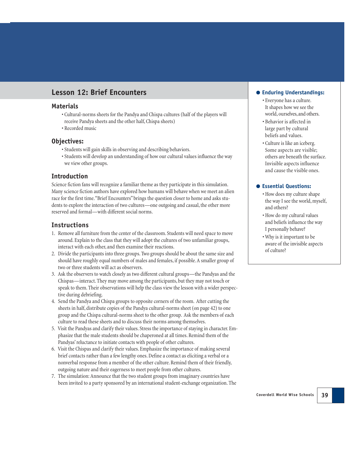### **Lesson 12: Brief Encounters**

#### **Materials**

- Cultural-norms sheets for the Pandya and Chispa cultures (half of the players will receive Pandya sheets and the other half, Chispa sheets)
- Recorded music

#### **Objectives:**

- Students will gain skills in observing and describing behaviors.
- Students will develop an understanding of how our cultural values influence the way we view other groups.

#### **Introduction**

Science fiction fans will recognize a familiar theme as they participate in this simulation. Many science fiction authors have explored how humans will behave when we meet an alien race for the first time."Brief Encounters" brings the question closer to home and asks students to explore the interaction of two cultures—one outgoing and casual, the other more reserved and formal—with different social norms.

#### **Instructions**

- 1. Remove all furniture from the center of the classroom. Students will need space to move around. Explain to the class that they will adopt the cultures of two unfamiliar groups, interact with each other, and then examine their reactions.
- 2. Divide the participants into three groups. Two groups should be about the same size and should have roughly equal numbers of males and females, if possible. A smaller group of two or three students will act as observers.
- 3. Ask the observers to watch closely as two different cultural groups—the Pandyas and the Chispas—interact. They may move among the participants, but they may not touch or speak to them. Their observations will help the class view the lesson with a wider perspective during debriefing.
- 4. Send the Pandya and Chispa groups to opposite corners of the room. After cutting the sheets in half, distribute copies of the Pandya cultural-norms sheet (on page 42) to one group and the Chispa cultural-norms sheet to the other group. Ask the members of each culture to read these sheets and to discuss their norms among themselves.
- 5. Visit the Pandyas and clarify their values. Stress the importance of staying in character. Emphasize that the male students should be chaperoned at all times. Remind them of the Pandyas' reluctance to initiate contacts with people of other cultures.
- 6. Visit the Chispas and clarify their values. Emphasize the importance of making several brief contacts rather than a few lengthy ones. Define a contact as eliciting a verbal or a nonverbal response from a member of the other culture. Remind them of their friendly, outgoing nature and their eagerness to meet people from other cultures.
- 7. The simulation: Announce that the two student groups from imaginary countries have been invited to a party sponsored by an international student-exchange organization. The

#### **Enduring Understandings:**

- Everyone has a culture. It shapes how we see the world, ourselves,and others.
- Behavior is affected in large part by cultural beliefs and values.
- Culture is like an iceberg. Some aspects are visible; others are beneath the surface. Invisible aspects influence and cause the visible ones.

#### **Essential Questions:**

- How does my culture shape the way I see the world, myself, and others?
- How do my cultural values and beliefs influence the way I personally behave?
- Why is it important to be aware of the invisible aspects of culture?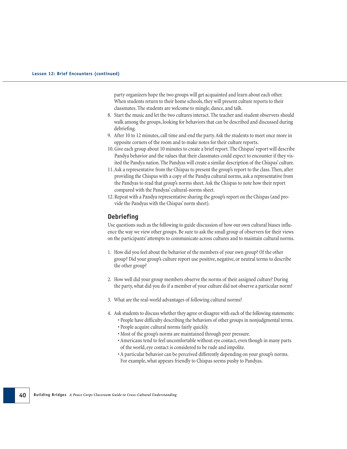party organizers hope the two groups will get acquainted and learn about each other. When students return to their home schools, they will present culture reports to their classmates. The students are welcome to mingle, dance, and talk.

- 8. Start the music and let the two cultures interact. The teacher and student observers should walk among the groups, looking for behaviors that can be described and discussed during debriefing.
- 9. After 10 to 12 minutes, call time and end the party. Ask the students to meet once more in opposite corners of the room and to make notes for their culture reports.
- 10. Give each group about 10 minutes to create a brief report. The Chispas' report will describe Pandya behavior and the values that their classmates could expect to encounter if they visited the Pandya nation. The Pandyas will create a similar description of the Chispas' culture.
- 11.Ask a representative from the Chispas to present the group's report to the class. Then, after providing the Chispas with a copy of the Pandya cultural norms, ask a representative from the Pandyas to read that group's norms sheet. Ask the Chispas to note how their report compared with the Pandyas' cultural-norms sheet.
- 12. Repeat with a Pandya representative sharing the group's report on the Chispas (and provide the Pandyas with the Chispas' norm sheet).

#### **Debriefing**

Use questions such as the following to guide discussion of how our own cultural biases influence the way we view other groups. Be sure to ask the small group of observers for their views on the participants' attempts to communicate across cultures and to maintain cultural norms.

- 1. How did you feel about the behavior of the members of your own group? Of the other group? Did your group's culture report use positive, negative, or neutral terms to describe the other group?
- 2. How well did your group members observe the norms of their assigned culture? During the party, what did you do if a member of your culture did not observe a particular norm?
- 3. What are the real-world advantages of following cultural norms?
- 4. Ask students to discuss whether they agree or disagree with each of the following statements:
	- People have difficulty describing the behaviors of other groups in nonjudgmental terms.
	- People acquire cultural norms fairly quickly.
	- Most of the group's norms are maintained through peer pressure.
	- Americans tend to feel uncomfortable without eye contact, even though in many parts of the world, eye contact is considered to be rude and impolite.
	- A particular behavior can be perceived differently depending on your group's norms. For example, what appears friendly to Chispas seems pushy to Pandyas.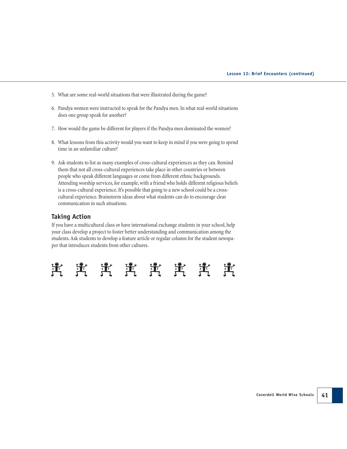- 5. What are some real-world situations that were illustrated during the game?
- 6. Pandya women were instructed to speak for the Pandya men. In what real-world situations does one group speak for another?
- 7. How would the game be different for players if the Pandya men dominated the women?
- 8. What lessons from this activity would you want to keep in mind if you were going to spend time in an unfamiliar culture?
- 9. Ask students to list as many examples of cross-cultural experiences as they can. Remind them that not all cross-cultural experiences take place in other countries or between people who speak different languages or come from different ethnic backgrounds. Attending worship services, for example, with a friend who holds different religious beliefs is a cross-cultural experience. It's possible that going to a new school could be a crosscultural experience. Brainstorm ideas about what students can do to encourage clear communication in such situations.

#### **Taking Action**

If you have a multicultural class or have international exchange students in your school, help your class develop a project to foster better understanding and communication among the students. Ask students to develop a feature article or regular column for the student newspaper that introduces students from other cultures.

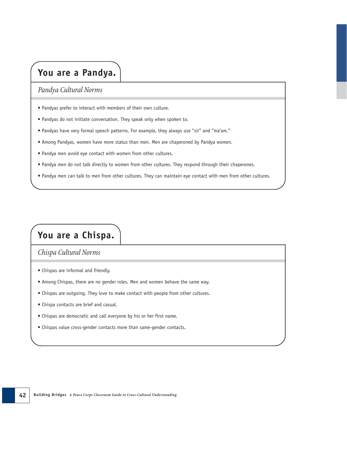# **You are a Pandya.**

### *Pandya Cultural Norms*

- Pandyas prefer to interact with members of their own culture.
- Pandyas do not initiate conversation. They speak only when spoken to.
- Pandyas have very formal speech patterns. For example, they always use "sir" and "ma'am."
- Among Pandyas, women have more status than men. Men are chaperoned by Pandya women.
- Pandya men avoid eye contact with women from other cultures.
- Pandya men do not talk directly to women from other cultures. They respond through their chaperones.
- Pandya men can talk to men from other cultures. They can maintain eye contact with men from other cultures.

# **You are a Chispa.**

### *Chispa Cultural Norms*

- Chispas are informal and friendly.
- Among Chispas, there are no gender roles. Men and women behave the same way.
- Chispas are outgoing. They love to make contact with people from other cultures.
- Chispa contacts are brief and casual.
- Chispas are democratic and call everyone by his or her first name.
- Chispas value cross-gender contacts more than same-gender contacts.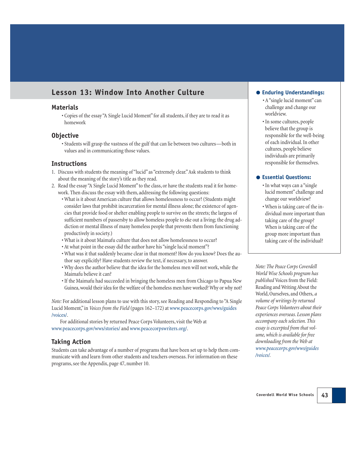# **Lesson 13: Window Into Another Culture**

#### **Materials**

• Copies of the essay "A Single Lucid Moment" for all students, if they are to read it as homework

#### **Objective**

• Students will grasp the vastness of the gulf that can lie between two cultures—both in values and in communicating those values.

### **Instructions**

- 1. Discuss with students the meaning of "lucid" as "extremely clear."Ask students to think about the meaning of the story's title as they read.
- 2. Read the essay "A Single Lucid Moment" to the class, or have the students read it for homework. Then discuss the essay with them, addressing the following questions:
	- What is it about American culture that allows homelessness to occur? (Students might consider laws that prohibit incarceration for mental illness alone; the existence of agencies that provide food or shelter enabling people to survive on the streets; the largess of sufficient numbers of passersby to allow homeless people to eke out a living; the drug addiction or mental illness of many homeless people that prevents them from functioning productively in society.)
	- What is it about Maimafu culture that does not allow homelessness to occur?
	- At what point in the essay did the author have his "single lucid moment"?
	- What was it that suddenly became clear in that moment? How do you know? Does the author say explicitly? Have students review the text, if necessary, to answer.
	- Why does the author believe that the idea for the homeless men will not work, while the Maimafu believe it can?
	- If the Maimafu had succeeded in bringing the homeless men from Chicago to Papua New Guinea, would their idea for the welfare of the homeless men have worked? Why or why not?

*Note:* For additional lesson plans to use with this story, see Reading and Responding to "A Single Lucid Moment," in *Voices from the Field* (pages 162–172) at www.peacecorps.gov/wws/guides /voices/.

For additional stories by returned Peace Corps Volunteers, visit the Web at www.peacecorps.gov/wws/stories/ and www.peacecorpswriters.org/.

### **Taking Action**

Students can take advantage of a number of programs that have been set up to help them communicate with and learn from other students and teachers overseas. For information on these programs, see the Appendix, page 47, number 10.

#### **Enduring Understandings:**

- A "single lucid moment" can challenge and change our worldview.
- In some cultures, people believe that the group is responsible for the well-being of each individual. In other cultures, people believe individuals are primarily responsible for themselves.

#### **Essential Questions:**

- In what ways can a "single lucid moment" challenge and change our worldview?
- When is taking care of the individual more important than taking care of the group? When is taking care of the group more important than taking care of the individual?

*Note: The Peace Corps Coverdell World Wise Schools program has published* Voices from the Field: Reading and Writing About the World,Ourselves, and Others, *a volume of writings by returned Peace Corps Volunteers about their experiences overseas. Lesson plans accompany each selection. This essay is excerpted from that volume, which is available for free downloading from the Web at www.peacecorps.gov/wws/guides /voices/.*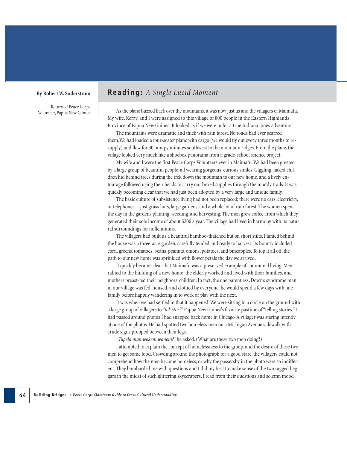#### **By Robert W. Soderstrom**

Returned Peace Corps Volunteer, Papua New Guinea

# **Reading:** *A Single Lucid Moment*

As the plane buzzed back over the mountains, it was now just us and the villagers of Maimafu. My wife, Kerry, and I were assigned to this village of 800 people in the Eastern Highlands Province of Papua New Guinea. It looked as if we were in for a true Indiana Jones adventure!

The mountains were dramatic and thick with rain forest. No roads had ever scarred them.We had loaded a four-seater plane with cargo (we would fly out every three months to resupply) and flew for 30 bumpy minutes southwest to the mountain ridges. From the plane, the village looked very much like a shoebox panorama from a grade-school science project.

My wife and I were the first Peace Corps Volunteers ever in Maimafu. We had been greeted by a large group of beautiful people, all wearing gorgeous, curious smiles. Giggling, naked children hid behind trees during the trek down the mountain to our new home, and a lively entourage followed using their heads to carry our boxed supplies through the muddy trails. It was quickly becoming clear that we had just been adopted by a very large and unique family.

The basic culture of subsistence living had not been replaced; there were no cars, electricity, or telephones—just grass huts, large gardens, and a whole lot of rain forest. The women spent the day in the gardens planting, weeding, and harvesting. The men grew coffee, from which they generated their sole income of about \$200 a year. The village had lived in harmony with its natural surroundings for millenniums.

The villagers had built us a beautiful bamboo-thatched hut on short stilts. Planted behind the house was a three-acre garden, carefully tended and ready to harvest. Its bounty included corn, greens, tomatoes, beans, peanuts, onions, potatoes, and pineapples. To top it all off, the path to our new home was sprinkled with flower petals the day we arrived.

It quickly became clear that Maimafu was a preserved example of communal living. Men rallied to the building of a new home, the elderly worked and lived with their families, and mothers breast-fed their neighbors' children. In fact, the one parentless, Down's syndrome man in our village was fed, housed, and clothed by everyone; he would spend a few days with one family before happily wandering in to work or play with the next.

It was when we had settled in that it happened. We were sitting in a circle on the ground with a large group of villagers to *"tok stori,"* Papua New Guinea's favorite pastime of "telling stories." I had passed around photos I had snapped back home in Chicago. A villager was staring intently at one of the photos. He had spotted two homeless men on a Michigan Avenue sidewalk with crude signs propped between their legs.

*"Tupela man wokem wanem?"* he asked. (What are these two men doing?)

I attempted to explain the concept of homelessness to the group, and the desire of these two men to get some food. Crowding around the photograph for a good stare, the villagers could not comprehend how the men became homeless, or why the passersby in the photo were so indifferent. They bombarded me with questions and I did my best to make sense of the two ragged beggars in the midst of such glittering skyscrapers. I read from their questions and solemn mood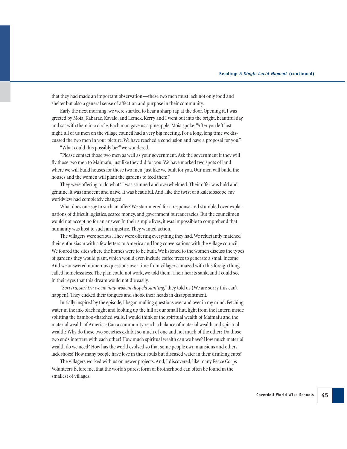that they had made an important observation—these two men must lack not only food and shelter but also a general sense of affection and purpose in their community.

Early the next morning, we were startled to hear a sharp rap at the door. Opening it, I was greeted by Moia, Kabarae, Kavalo, and Lemek. Kerry and I went out into the bright, beautiful day and sat with them in a circle. Each man gave us a pineapple. Moia spoke: "After you left last night, all of us men on the village council had a very big meeting. For a long, long time we discussed the two men in your picture. We have reached a conclusion and have a proposal for you."

"What could this possibly be?" we wondered.

"Please contact those two men as well as your government. Ask the government if they will fly those two men to Maimafu, just like they did for you. We have marked two spots of land where we will build houses for those two men, just like we built for you. Our men will build the houses and the women will plant the gardens to feed them."

They were offering to do what? I was stunned and overwhelmed. Their offer was bold and genuine. It was innocent and naive. It was beautiful. And, like the twist of a kaleidoscope, my worldview had completely changed.

What does one say to such an offer? We stammered for a response and stumbled over explanations of difficult logistics, scarce money, and government bureaucracies. But the councilmen would not accept no for an answer. In their simple lives, it was impossible to comprehend that humanity was host to such an injustice. They wanted action.

The villagers were serious. They were offering everything they had. We reluctantly matched their enthusiasm with a few letters to America and long conversations with the village council. We toured the sites where the homes were to be built. We listened to the women discuss the types of gardens they would plant, which would even include coffee trees to generate a small income. And we answered numerous questions over time from villagers amazed with this foreign thing called homelessness. The plan could not work, we told them. Their hearts sank, and I could see in their eyes that this dream would not die easily.

*"Sori tru, sori tru we no inap wokem dospela samting,"* they told us (We are sorry this can't happen). They clicked their tongues and shook their heads in disappointment.

Initially inspired by the episode, I began mulling questions over and over in my mind. Fetching water in the ink-black night and looking up the hill at our small hut, light from the lantern inside splitting the bamboo-thatched walls, I would think of the spiritual wealth of Maimafu and the material wealth of America: Can a community reach a balance of material wealth and spiritual wealth? Why do these two societies exhibit so much of one and not much of the other? Do those two ends interfere with each other? How much spiritual wealth can we have? How much material wealth do we need? How has the world evolved so that some people own mansions and others lack shoes? How many people have love in their souls but diseased water in their drinking cups?

The villagers worked with us on newer projects. And, I discovered, like many Peace Corps Volunteers before me, that the world's purest form of brotherhood can often be found in the smallest of villages.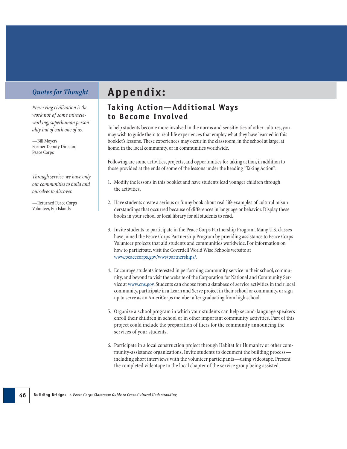### *Quotes for Thought*

*Preserving civilization is the work not of some miracleworking, superhuman personality but of each one of us.*

—Bill Moyers, Former Deputy Director, Peace Corps

*Through service, we have only our communities to build and ourselves to discover.*

—Returned Peace Corps Volunteer, Fiji Islands

# **Appendix:**

# **Taking Action—Additional Ways to Become Involved**

To help students become more involved in the norms and sensitivities of other cultures, you may wish to guide them to real-life experiences that employ what they have learned in this booklet's lessons. These experiences may occur in the classroom, in the school at large, at home, in the local community, or in communities worldwide.

Following are some activities, projects, and opportunities for taking action, in addition to those provided at the ends of some of the lessons under the heading "Taking Action":

- 1. Modify the lessons in this booklet and have students lead younger children through the activities.
- 2. Have students create a serious or funny book about real-life examples of cultural misunderstandings that occurred because of differences in language or behavior. Display these books in your school or local library for all students to read.
- 3. Invite students to participate in the Peace Corps Partnership Program. Many U.S. classes have joined the Peace Corps Partnership Program by providing assistance to Peace Corps Volunteer projects that aid students and communities worldwide. For information on how to participate, visit the Coverdell World Wise Schools website at www.peacecorps.gov/wws/partnerships/.
- 4. Encourage students interested in performing community service in their school, community, and beyond to visit the website of the Corporation for National and Community Service at www.cns.gov. Students can choose from a database of service activities in their local community, participate in a Learn and Serve project in their school or community, or sign up to serve as an AmeriCorps member after graduating from high school.
- 5. Organize a school program in which your students can help second-language speakers enroll their children in school or in other important community activities. Part of this project could include the preparation of fliers for the community announcing the services of your students.
- 6. Participate in a local construction project through Habitat for Humanity or other community-assistance organizations. Invite students to document the building process including short interviews with the volunteer participants—using videotape. Present the completed videotape to the local chapter of the service group being assisted.